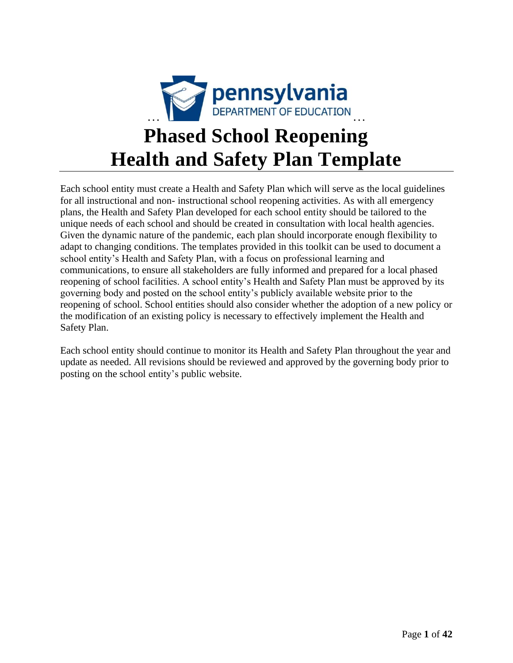

# **Phased School Reopening Health and Safety Plan Template**

Each school entity must create a Health and Safety Plan which will serve as the local guidelines for all instructional and non- instructional school reopening activities. As with all emergency plans, the Health and Safety Plan developed for each school entity should be tailored to the unique needs of each school and should be created in consultation with local health agencies. Given the dynamic nature of the pandemic, each plan should incorporate enough flexibility to adapt to changing conditions. The templates provided in this toolkit can be used to document a school entity's Health and Safety Plan, with a focus on professional learning and communications, to ensure all stakeholders are fully informed and prepared for a local phased reopening of school facilities. A school entity's Health and Safety Plan must be approved by its governing body and posted on the school entity's publicly available website prior to the reopening of school. School entities should also consider whether the adoption of a new policy or the modification of an existing policy is necessary to effectively implement the Health and Safety Plan.

Each school entity should continue to monitor its Health and Safety Plan throughout the year and update as needed. All revisions should be reviewed and approved by the governing body prior to posting on the school entity's public website.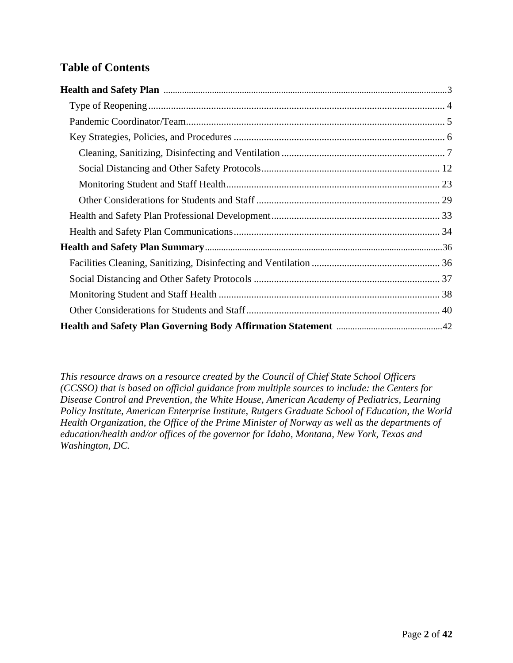# **Table of Contents**

*This resource draws on a resource created by the Council of Chief State School Officers (CCSSO) that is based on official guidance from multiple sources to include: the Centers for Disease Control and Prevention, the White House, American Academy of Pediatrics, Learning Policy Institute, American Enterprise Institute, Rutgers Graduate School of Education, the World Health Organization, the Office of the Prime Minister of Norway as well as the departments of education/health and/or offices of the governor for Idaho, Montana, New York, Texas and Washington, DC.*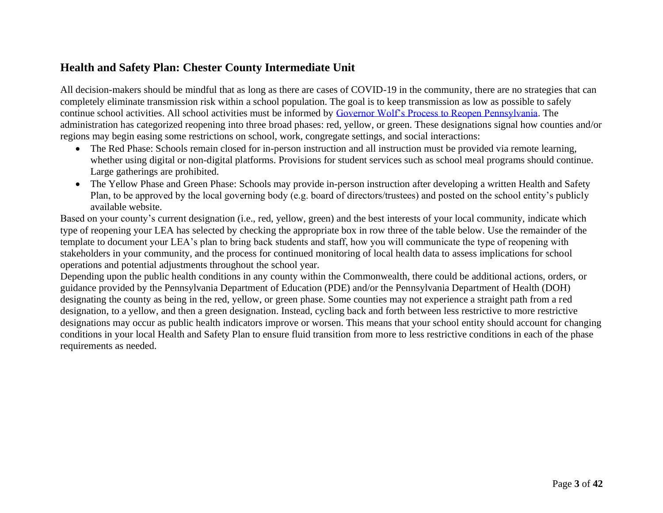# **Health and Safety Plan: Chester County Intermediate Unit**

All decision-makers should be mindful that as long as there are cases of COVID-19 in the community, there are no strategies that can completely eliminate transmission risk within a school population. The goal is to keep transmission as low as possible to safely continue school activities. All school activities must be informed by [Governor Wolf's Process to Reopen Pennsylvania.](https://www.governor.pa.gov/process-to-reopen-pennsylvania/) The administration has categorized reopening into three broad phases: red, yellow, or green. These designations signal how counties and/or regions may begin easing some restrictions on school, work, congregate settings, and social interactions:

- The Red Phase: Schools remain closed for in-person instruction and all instruction must be provided via remote learning, whether using digital or non-digital platforms. Provisions for student services such as school meal programs should continue. Large gatherings are prohibited.
- The Yellow Phase and Green Phase: Schools may provide in-person instruction after developing a written Health and Safety Plan, to be approved by the local governing body (e.g. board of directors/trustees) and posted on the school entity's publicly available website.

<span id="page-2-0"></span>Based on your county's current designation (i.e., red, yellow, green) and the best interests of your local community, indicate which type of reopening your LEA has selected by checking the appropriate box in row three of the table below. Use the remainder of the template to document your LEA's plan to bring back students and staff, how you will communicate the type of reopening with stakeholders in your community, and the process for continued monitoring of local health data to assess implications for school operations and potential adjustments throughout the school year.

Depending upon the public health conditions in any county within the Commonwealth, there could be additional actions, orders, or guidance provided by the Pennsylvania Department of Education (PDE) and/or the Pennsylvania Department of Health (DOH) designating the county as being in the red, yellow, or green phase. Some counties may not experience a straight path from a red designation, to a yellow, and then a green designation. Instead, cycling back and forth between less restrictive to more restrictive designations may occur as public health indicators improve or worsen. This means that your school entity should account for changing conditions in your local Health and Safety Plan to ensure fluid transition from more to less restrictive conditions in each of the phase requirements as needed.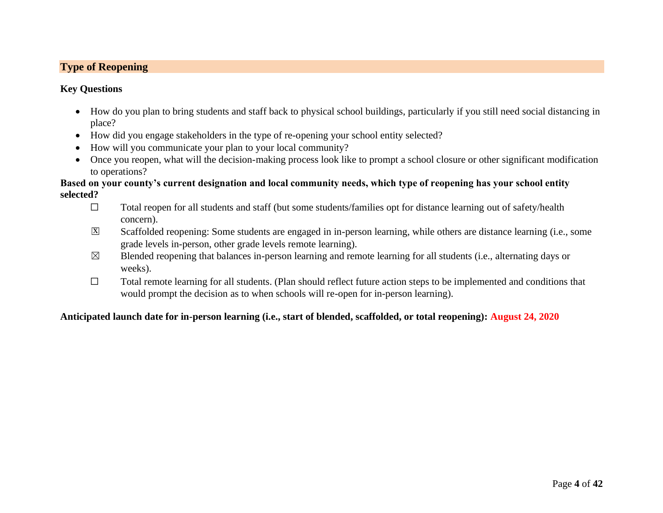# **Type of Reopening**

#### **Key Questions**

- How do you plan to bring students and staff back to physical school buildings, particularly if you still need social distancing in place?
- How did you engage stakeholders in the type of re-opening your school entity selected?
- How will you communicate your plan to your local community?
- Once you reopen, what will the decision-making process look like to prompt a school closure or other significant modification to operations?

#### **Based on your county's current designation and local community needs, which type of reopening has your school entity selected?**

- <span id="page-3-0"></span>☐ Total reopen for all students and staff (but some students/families opt for distance learning out of safety/health concern).
- Scaffolded reopening: Some students are engaged in in-person learning, while others are distance learning (i.e., some grade levels in-person, other grade levels remote learning). x
- $\boxtimes$  Blended reopening that balances in-person learning and remote learning for all students (i.e., alternating days or weeks).
- ☐ Total remote learning for all students. (Plan should reflect future action steps to be implemented and conditions that would prompt the decision as to when schools will re-open for in-person learning).

#### **Anticipated launch date for in-person learning (i.e., start of blended, scaffolded, or total reopening): August 24, 2020**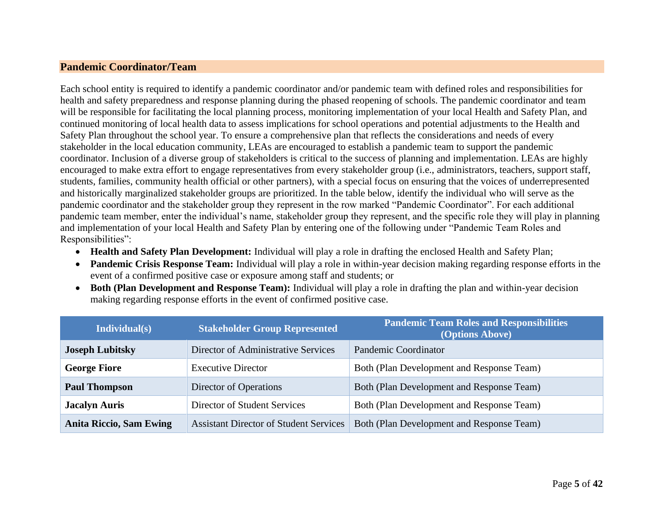#### **Pandemic Coordinator/Team**

Each school entity is required to identify a pandemic coordinator and/or pandemic team with defined roles and responsibilities for health and safety preparedness and response planning during the phased reopening of schools. The pandemic coordinator and team will be responsible for facilitating the local planning process, monitoring implementation of your local Health and Safety Plan, and continued monitoring of local health data to assess implications for school operations and potential adjustments to the Health and Safety Plan throughout the school year. To ensure a comprehensive plan that reflects the considerations and needs of every stakeholder in the local education community, LEAs are encouraged to establish a pandemic team to support the pandemic coordinator. Inclusion of a diverse group of stakeholders is critical to the success of planning and implementation. LEAs are highly encouraged to make extra effort to engage representatives from every stakeholder group (i.e., administrators, teachers, support staff, students, families, community health official or other partners), with a special focus on ensuring that the voices of underrepresented and historically marginalized stakeholder groups are prioritized. In the table below, identify the individual who will serve as the pandemic coordinator and the stakeholder group they represent in the row marked "Pandemic Coordinator". For each additional pandemic team member, enter the individual's name, stakeholder group they represent, and the specific role they will play in planning and implementation of your local Health and Safety Plan by entering one of the following under "Pandemic Team Roles and Responsibilities":

- <span id="page-4-0"></span>• **Health and Safety Plan Development:** Individual will play a role in drafting the enclosed Health and Safety Plan;
- **Pandemic Crisis Response Team:** Individual will play a role in within-year decision making regarding response efforts in the event of a confirmed positive case or exposure among staff and students; or
- **Both (Plan Development and Response Team):** Individual will play a role in drafting the plan and within-year decision making regarding response efforts in the event of confirmed positive case.

| Individual(s)                  | <b>Stakeholder Group Represented</b>          | <b>Pandemic Team Roles and Responsibilities</b><br>(Options Above) |
|--------------------------------|-----------------------------------------------|--------------------------------------------------------------------|
| <b>Joseph Lubitsky</b>         | Director of Administrative Services           | Pandemic Coordinator                                               |
| <b>George Fiore</b>            | <b>Executive Director</b>                     | Both (Plan Development and Response Team)                          |
| <b>Paul Thompson</b>           | Director of Operations                        | Both (Plan Development and Response Team)                          |
| <b>Jacalyn Auris</b>           | Director of Student Services                  | Both (Plan Development and Response Team)                          |
| <b>Anita Riccio, Sam Ewing</b> | <b>Assistant Director of Student Services</b> | Both (Plan Development and Response Team)                          |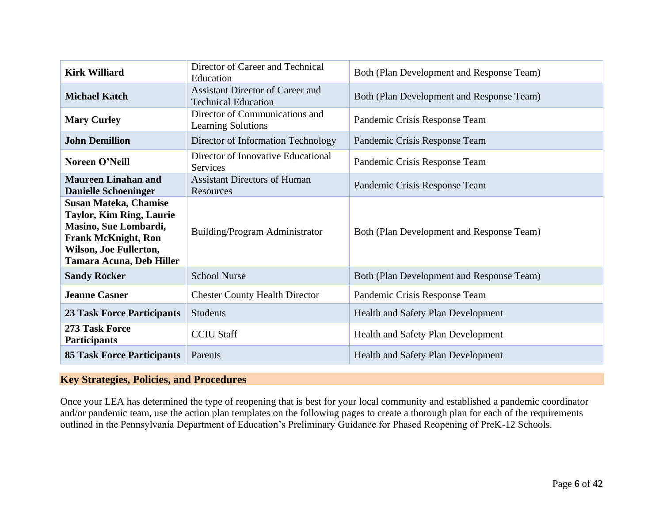| <b>Kirk Williard</b>                                                                                                                                                         | Director of Career and Technical<br>Education                         | Both (Plan Development and Response Team) |
|------------------------------------------------------------------------------------------------------------------------------------------------------------------------------|-----------------------------------------------------------------------|-------------------------------------------|
| <b>Michael Katch</b>                                                                                                                                                         | <b>Assistant Director of Career and</b><br><b>Technical Education</b> | Both (Plan Development and Response Team) |
| <b>Mary Curley</b>                                                                                                                                                           | Director of Communications and<br><b>Learning Solutions</b>           | Pandemic Crisis Response Team             |
| <b>John Demillion</b>                                                                                                                                                        | Director of Information Technology                                    | Pandemic Crisis Response Team             |
| Noreen O'Neill                                                                                                                                                               | Director of Innovative Educational<br><b>Services</b>                 | Pandemic Crisis Response Team             |
| <b>Maureen Linahan and</b><br><b>Danielle Schoeninger</b>                                                                                                                    | <b>Assistant Directors of Human</b><br>Resources                      | Pandemic Crisis Response Team             |
| <b>Susan Mateka, Chamise</b><br><b>Taylor, Kim Ring, Laurie</b><br>Masino, Sue Lombardi,<br><b>Frank McKnight, Ron</b><br>Wilson, Joe Fullerton,<br>Tamara Acuna, Deb Hiller | Building/Program Administrator                                        | Both (Plan Development and Response Team) |
| <b>Sandy Rocker</b>                                                                                                                                                          | <b>School Nurse</b>                                                   | Both (Plan Development and Response Team) |
| <b>Jeanne Casner</b>                                                                                                                                                         | <b>Chester County Health Director</b>                                 | Pandemic Crisis Response Team             |
| <b>23 Task Force Participants</b>                                                                                                                                            | <b>Students</b>                                                       | <b>Health and Safety Plan Development</b> |
| 273 Task Force<br><b>Participants</b>                                                                                                                                        | <b>CCIU Staff</b>                                                     | Health and Safety Plan Development        |
| <b>85 Task Force Participants</b>                                                                                                                                            | Parents                                                               | <b>Health and Safety Plan Development</b> |

## **Key Strategies, Policies, and Procedures**

<span id="page-5-0"></span>Once your LEA has determined the type of reopening that is best for your local community and established a pandemic coordinator and/or pandemic team, use the action plan templates on the following pages to create a thorough plan for each of the requirements outlined in the Pennsylvania Department of Education's Preliminary Guidance for Phased Reopening of PreK-12 Schools.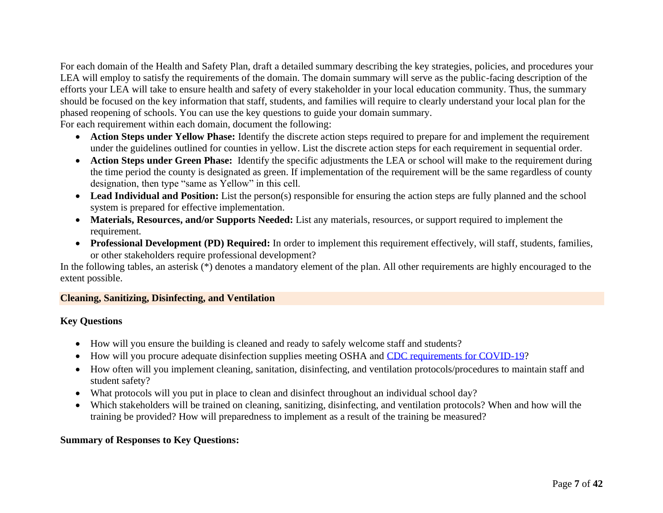For each domain of the Health and Safety Plan, draft a detailed summary describing the key strategies, policies, and procedures your LEA will employ to satisfy the requirements of the domain. The domain summary will serve as the public-facing description of the efforts your LEA will take to ensure health and safety of every stakeholder in your local education community. Thus, the summary should be focused on the key information that staff, students, and families will require to clearly understand your local plan for the phased reopening of schools. You can use the key questions to guide your domain summary.

For each requirement within each domain, document the following:

- **Action Steps under Yellow Phase:** Identify the discrete action steps required to prepare for and implement the requirement under the guidelines outlined for counties in yellow. List the discrete action steps for each requirement in sequential order.
- **Action Steps under Green Phase:** Identify the specific adjustments the LEA or school will make to the requirement during the time period the county is designated as green. If implementation of the requirement will be the same regardless of county designation, then type "same as Yellow" in this cell.
- **Lead Individual and Position:** List the person(s) responsible for ensuring the action steps are fully planned and the school system is prepared for effective implementation.
- **Materials, Resources, and/or Supports Needed:** List any materials, resources, or support required to implement the requirement.
- **Professional Development (PD) Required:** In order to implement this requirement effectively, will staff, students, families, or other stakeholders require professional development?

In the following tables, an asterisk (\*) denotes a mandatory element of the plan. All other requirements are highly encouraged to the extent possible.

#### **Cleaning, Sanitizing, Disinfecting, and Ventilation**

#### **Key Questions**

- How will you ensure the building is cleaned and ready to safely welcome staff and students?
- How will you procure adequate disinfection supplies meeting OSHA and [CDC requirements for COVID-19?](https://www.cdc.gov/coronavirus/2019-ncov/community/disinfecting-building-facility.html)
- How often will you implement cleaning, sanitation, disinfecting, and ventilation protocols/procedures to maintain staff and student safety?
- What protocols will you put in place to clean and disinfect throughout an individual school day?
- <span id="page-6-0"></span>• Which stakeholders will be trained on cleaning, sanitizing, disinfecting, and ventilation protocols? When and how will the training be provided? How will preparedness to implement as a result of the training be measured?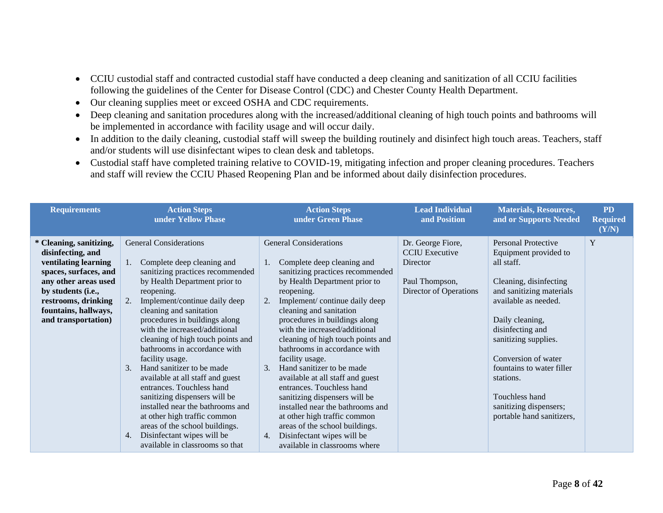- CCIU custodial staff and contracted custodial staff have conducted a deep cleaning and sanitization of all CCIU facilities following the guidelines of the Center for Disease Control (CDC) and Chester County Health Department.
- Our cleaning supplies meet or exceed OSHA and CDC requirements.
- Deep cleaning and sanitation procedures along with the increased/additional cleaning of high touch points and bathrooms will be implemented in accordance with facility usage and will occur daily.
- In addition to the daily cleaning, custodial staff will sweep the building routinely and disinfect high touch areas. Teachers, staff and/or students will use disinfectant wipes to clean desk and tabletops.
- Custodial staff have completed training relative to COVID-19, mitigating infection and proper cleaning procedures. Teachers and staff will review the CCIU Phased Reopening Plan and be informed about daily disinfection procedures.

| <b>Requirements</b>                                                                                                                                                                                               | <b>Action Steps</b><br>under Yellow Phase                                                                                                                                                                                                                                                                                                                                                                                                                                                                                                                                                                                                                                                                    | <b>Action Steps</b><br>under Green Phase                                                                                                                                                                                                                                                                                                                                                                                                                                                                                                                                                                                                                                                         | <b>Lead Individual</b><br>and Position                                                             | <b>Materials, Resources,</b><br>and or Supports Needed                                                                                                                                                                                                                                                                                            | <b>PD</b><br><b>Required</b><br>(Y/N) |
|-------------------------------------------------------------------------------------------------------------------------------------------------------------------------------------------------------------------|--------------------------------------------------------------------------------------------------------------------------------------------------------------------------------------------------------------------------------------------------------------------------------------------------------------------------------------------------------------------------------------------------------------------------------------------------------------------------------------------------------------------------------------------------------------------------------------------------------------------------------------------------------------------------------------------------------------|--------------------------------------------------------------------------------------------------------------------------------------------------------------------------------------------------------------------------------------------------------------------------------------------------------------------------------------------------------------------------------------------------------------------------------------------------------------------------------------------------------------------------------------------------------------------------------------------------------------------------------------------------------------------------------------------------|----------------------------------------------------------------------------------------------------|---------------------------------------------------------------------------------------------------------------------------------------------------------------------------------------------------------------------------------------------------------------------------------------------------------------------------------------------------|---------------------------------------|
| * Cleaning, sanitizing,<br>disinfecting, and<br>ventilating learning<br>spaces, surfaces, and<br>any other areas used<br>by students (i.e.,<br>restrooms, drinking<br>fountains, hallways,<br>and transportation) | <b>General Considerations</b><br>Complete deep cleaning and<br>$1_{\cdots}$<br>sanitizing practices recommended<br>by Health Department prior to<br>reopening.<br>Implement/continue daily deep<br>2.<br>cleaning and sanitation<br>procedures in buildings along<br>with the increased/additional<br>cleaning of high touch points and<br>bathrooms in accordance with<br>facility usage.<br>Hand sanitizer to be made<br>3.<br>available at all staff and guest<br>entrances. Touchless hand<br>sanitizing dispensers will be<br>installed near the bathrooms and<br>at other high traffic common<br>areas of the school buildings.<br>Disinfectant wipes will be<br>4.<br>available in classrooms so that | <b>General Considerations</b><br>Complete deep cleaning and<br>1.<br>sanitizing practices recommended<br>by Health Department prior to<br>reopening.<br>Implement/continue daily deep<br>2.<br>cleaning and sanitation<br>procedures in buildings along<br>with the increased/additional<br>cleaning of high touch points and<br>bathrooms in accordance with<br>facility usage.<br>Hand sanitizer to be made<br>3.<br>available at all staff and guest<br>entrances. Touchless hand<br>sanitizing dispensers will be<br>installed near the bathrooms and<br>at other high traffic common<br>areas of the school buildings.<br>Disinfectant wipes will be<br>4.<br>available in classrooms where | Dr. George Fiore,<br><b>CCIU</b> Executive<br>Director<br>Paul Thompson,<br>Director of Operations | Personal Protective<br>Equipment provided to<br>all staff.<br>Cleaning, disinfecting<br>and sanitizing materials<br>available as needed.<br>Daily cleaning,<br>disinfecting and<br>sanitizing supplies.<br>Conversion of water<br>fountains to water filler<br>stations.<br>Touchless hand<br>sanitizing dispensers;<br>portable hand sanitizers, | Y                                     |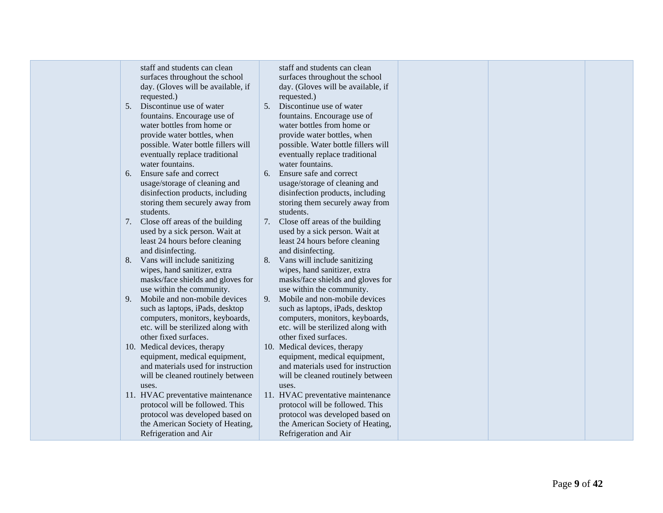staff and students can clean surfaces throughout the school day. (Gloves will be available, if requested.)

- 5. Discontinue use of water fountains. Encourage use of water bottles from home or provide water bottles, when possible. Water bottle fillers will eventually replace traditional water fountains.
- 6. Ensure safe and correct usage/storage of cleaning and disinfection products, including storing them securely away from students.
- 7. Close off areas of the building used by a sick person. Wait at least 24 hours before cleaning and disinfecting.
- 8. Vans will include sanitizing wipes, hand sanitizer, extra masks/face shields and gloves for use within the community.
- 9. Mobile and non -mobile devices such as laptops, iPads, desktop computers, monitors, keyboards, etc. will be sterilized along with other fixed surfaces.
- 10. Medical devices, therapy equipment, medical equipment, and materials used for instruction will be cleaned routinely between uses.
- 11. HVAC preventative maintenance protocol will be followed. This protocol was developed based on the American Society of Heating, Refrigeration and Air

staff and students can clean surfaces throughout the school day. (Gloves will be available, if requested.)

- 5. Discontinue use of water fountains. Encourage use of water bottles from home or provide water bottles, when possible. Water bottle fillers will eventually replace traditional water fountains.
- 6. Ensure safe and correct usage/storage of cleaning and disinfection products, including storing them securely away from students.
- 7. Close off areas of the building used by a sick person. Wait at least 24 hours before cleaning and disinfecting.
- 8. Vans will include sanitizing wipes, hand sanitizer, extra masks/face shields and gloves for use within the community.
- 9. Mobile and non -mobile devices such as laptops, iPads, desktop computers, monitors, keyboards, etc. will be sterilized along with other fixed surfaces.

10. Medical devices, therapy equipment, medical equipment, and materials used for instruction will be cleaned routinely between uses.

11. HVAC preventative maintenance protocol will be followed. This protocol was developed based on the American Society of Heating, Refrigeration and Air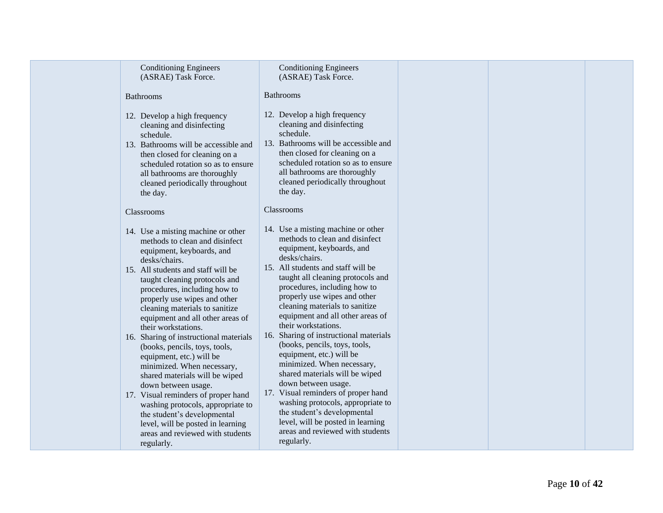| <b>Conditioning Engineers</b><br>(ASRAE) Task Force.                                                                                                                                                                                                                                                                                                                                                                                                                                                                                                                                                                                                                                                                                     | <b>Conditioning Engineers</b><br>(ASRAE) Task Force.                                                                                                                                                                                                                                                                                                                                                                                                                                                                                                                                                                                                                                                                                                       |  |  |
|------------------------------------------------------------------------------------------------------------------------------------------------------------------------------------------------------------------------------------------------------------------------------------------------------------------------------------------------------------------------------------------------------------------------------------------------------------------------------------------------------------------------------------------------------------------------------------------------------------------------------------------------------------------------------------------------------------------------------------------|------------------------------------------------------------------------------------------------------------------------------------------------------------------------------------------------------------------------------------------------------------------------------------------------------------------------------------------------------------------------------------------------------------------------------------------------------------------------------------------------------------------------------------------------------------------------------------------------------------------------------------------------------------------------------------------------------------------------------------------------------------|--|--|
| <b>Bathrooms</b>                                                                                                                                                                                                                                                                                                                                                                                                                                                                                                                                                                                                                                                                                                                         | <b>Bathrooms</b>                                                                                                                                                                                                                                                                                                                                                                                                                                                                                                                                                                                                                                                                                                                                           |  |  |
| 12. Develop a high frequency<br>cleaning and disinfecting<br>schedule.<br>13. Bathrooms will be accessible and<br>then closed for cleaning on a<br>scheduled rotation so as to ensure<br>all bathrooms are thoroughly<br>cleaned periodically throughout<br>the day.                                                                                                                                                                                                                                                                                                                                                                                                                                                                     | 12. Develop a high frequency<br>cleaning and disinfecting<br>schedule.<br>13. Bathrooms will be accessible and<br>then closed for cleaning on a<br>scheduled rotation so as to ensure<br>all bathrooms are thoroughly<br>cleaned periodically throughout<br>the day.                                                                                                                                                                                                                                                                                                                                                                                                                                                                                       |  |  |
| Classrooms                                                                                                                                                                                                                                                                                                                                                                                                                                                                                                                                                                                                                                                                                                                               | <b>Classrooms</b>                                                                                                                                                                                                                                                                                                                                                                                                                                                                                                                                                                                                                                                                                                                                          |  |  |
| 14. Use a misting machine or other<br>methods to clean and disinfect<br>equipment, keyboards, and<br>desks/chairs.<br>15. All students and staff will be<br>taught cleaning protocols and<br>procedures, including how to<br>properly use wipes and other<br>cleaning materials to sanitize<br>equipment and all other areas of<br>their workstations.<br>16. Sharing of instructional materials<br>(books, pencils, toys, tools,<br>equipment, etc.) will be<br>minimized. When necessary,<br>shared materials will be wiped<br>down between usage.<br>17. Visual reminders of proper hand<br>washing protocols, appropriate to<br>the student's developmental<br>level, will be posted in learning<br>areas and reviewed with students | 14. Use a misting machine or other<br>methods to clean and disinfect<br>equipment, keyboards, and<br>desks/chairs.<br>15. All students and staff will be<br>taught all cleaning protocols and<br>procedures, including how to<br>properly use wipes and other<br>cleaning materials to sanitize<br>equipment and all other areas of<br>their workstations.<br>16. Sharing of instructional materials<br>(books, pencils, toys, tools,<br>equipment, etc.) will be<br>minimized. When necessary,<br>shared materials will be wiped<br>down between usage.<br>17. Visual reminders of proper hand<br>washing protocols, appropriate to<br>the student's developmental<br>level, will be posted in learning<br>areas and reviewed with students<br>regularly. |  |  |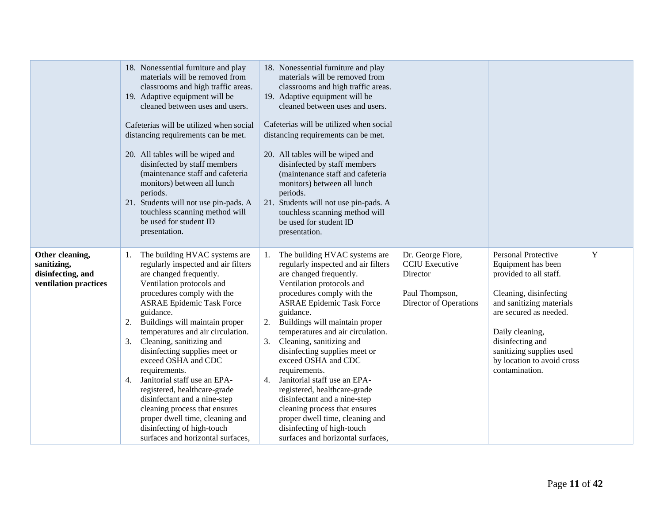|                                                                              | 18. Nonessential furniture and play<br>materials will be removed from<br>classrooms and high traffic areas.<br>19. Adaptive equipment will be<br>cleaned between uses and users.<br>Cafeterias will be utilized when social<br>distancing requirements can be met.<br>20. All tables will be wiped and<br>disinfected by staff members<br>(maintenance staff and cafeteria<br>monitors) between all lunch<br>periods.<br>21. Students will not use pin-pads. A<br>touchless scanning method will<br>be used for student ID<br>presentation.                                                                                                            | 18. Nonessential furniture and play<br>materials will be removed from<br>classrooms and high traffic areas.<br>19. Adaptive equipment will be<br>cleaned between uses and users.<br>Cafeterias will be utilized when social<br>distancing requirements can be met.<br>20. All tables will be wiped and<br>disinfected by staff members<br>(maintenance staff and cafeteria<br>monitors) between all lunch<br>periods.<br>21. Students will not use pin-pads. A<br>touchless scanning method will<br>be used for student ID<br>presentation.                                                                                                                          |                                                                                                    |                                                                                                                                                                                                                                                                        |   |
|------------------------------------------------------------------------------|--------------------------------------------------------------------------------------------------------------------------------------------------------------------------------------------------------------------------------------------------------------------------------------------------------------------------------------------------------------------------------------------------------------------------------------------------------------------------------------------------------------------------------------------------------------------------------------------------------------------------------------------------------|----------------------------------------------------------------------------------------------------------------------------------------------------------------------------------------------------------------------------------------------------------------------------------------------------------------------------------------------------------------------------------------------------------------------------------------------------------------------------------------------------------------------------------------------------------------------------------------------------------------------------------------------------------------------|----------------------------------------------------------------------------------------------------|------------------------------------------------------------------------------------------------------------------------------------------------------------------------------------------------------------------------------------------------------------------------|---|
| Other cleaning,<br>sanitizing,<br>disinfecting, and<br>ventilation practices | The building HVAC systems are<br>1.<br>regularly inspected and air filters<br>are changed frequently.<br>Ventilation protocols and<br>procedures comply with the<br><b>ASRAE Epidemic Task Force</b><br>guidance.<br>Buildings will maintain proper<br>2.<br>temperatures and air circulation.<br>Cleaning, sanitizing and<br>3.<br>disinfecting supplies meet or<br>exceed OSHA and CDC<br>requirements.<br>Janitorial staff use an EPA-<br>4.<br>registered, healthcare-grade<br>disinfectant and a nine-step<br>cleaning process that ensures<br>proper dwell time, cleaning and<br>disinfecting of high-touch<br>surfaces and horizontal surfaces, | The building HVAC systems are<br>1.<br>regularly inspected and air filters<br>are changed frequently.<br>Ventilation protocols and<br>procedures comply with the<br><b>ASRAE Epidemic Task Force</b><br>guidance.<br>Buildings will maintain proper<br>2.<br>temperatures and air circulation.<br>Cleaning, sanitizing and<br>3.<br>disinfecting supplies meet or<br>exceed OSHA and CDC<br>requirements.<br>Janitorial staff use an EPA-<br>$\overline{4}$ .<br>registered, healthcare-grade<br>disinfectant and a nine-step<br>cleaning process that ensures<br>proper dwell time, cleaning and<br>disinfecting of high-touch<br>surfaces and horizontal surfaces, | Dr. George Fiore,<br><b>CCIU</b> Executive<br>Director<br>Paul Thompson,<br>Director of Operations | Personal Protective<br>Equipment has been<br>provided to all staff.<br>Cleaning, disinfecting<br>and sanitizing materials<br>are secured as needed.<br>Daily cleaning,<br>disinfecting and<br>sanitizing supplies used<br>by location to avoid cross<br>contamination. | Y |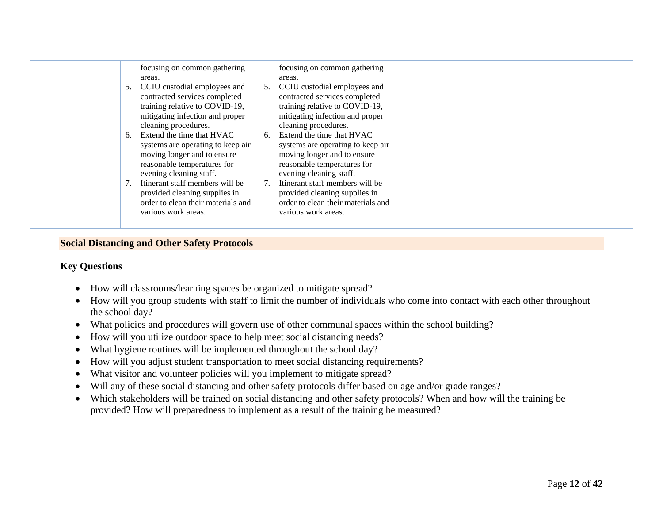|--|

#### **Social Distancing and Other Safety Protocols**

#### **Key Questions**

- How will classrooms/learning spaces be organized to mitigate spread?
- How will you group students with staff to limit the number of individuals who come into contact with each other throughout the school day?
- What policies and procedures will govern use of other communal spaces within the school building?
- How will you utilize outdoor space to help meet social distancing needs?
- What hygiene routines will be implemented throughout the school day?
- How will you adjust student transportation to meet social distancing requirements?
- What visitor and volunteer policies will you implement to mitigate spread?
- <span id="page-11-0"></span>• Will any of these social distancing and other safety protocols differ based on age and/or grade ranges?
- Which stakeholders will be trained on social distancing and other safety protocols? When and how will the training be provided? How will preparedness to implement as a result of the training be measured?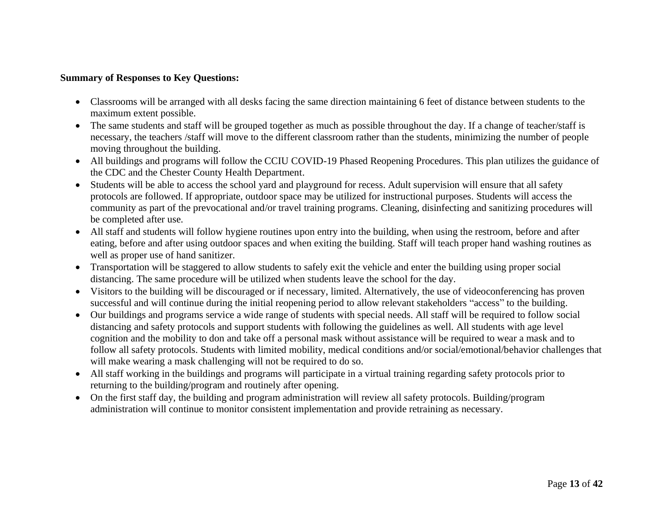- Classrooms will be arranged with all desks facing the same direction maintaining 6 feet of distance between students to the maximum extent possible.
- The same students and staff will be grouped together as much as possible throughout the day. If a change of teacher/staff is necessary, the teachers /staff will move to the different classroom rather than the students, minimizing the number of people moving throughout the building.
- All buildings and programs will follow the CCIU COVID-19 Phased Reopening Procedures. This plan utilizes the guidance of the CDC and the Chester County Health Department.
- Students will be able to access the school yard and playground for recess. Adult supervision will ensure that all safety protocols are followed. If appropriate, outdoor space may be utilized for instructional purposes. Students will access the community as part of the prevocational and/or travel training programs. Cleaning, disinfecting and sanitizing procedures will be completed after use.
- All staff and students will follow hygiene routines upon entry into the building, when using the restroom, before and after eating, before and after using outdoor spaces and when exiting the building. Staff will teach proper hand washing routines as well as proper use of hand sanitizer.
- Transportation will be staggered to allow students to safely exit the vehicle and enter the building using proper social distancing. The same procedure will be utilized when students leave the school for the day.
- Visitors to the building will be discouraged or if necessary, limited. Alternatively, the use of videoconferencing has proven successful and will continue during the initial reopening period to allow relevant stakeholders "access" to the building.
- Our buildings and programs service a wide range of students with special needs. All staff will be required to follow social distancing and safety protocols and support students with following the guidelines as well. All students with age level cognition and the mobility to don and take off a personal mask without assistance will be required to wear a mask and to follow all safety protocols. Students with limited mobility, medical conditions and/or social/emotional/behavior challenges that will make wearing a mask challenging will not be required to do so.
- All staff working in the buildings and programs will participate in a virtual training regarding safety protocols prior to returning to the building/program and routinely after opening.
- On the first staff day, the building and program administration will review all safety protocols. Building/program administration will continue to monitor consistent implementation and provide retraining as necessary.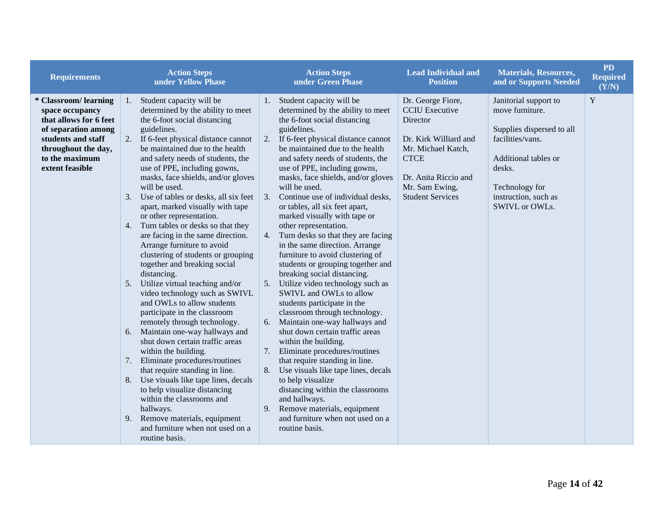| <b>Requirements</b>                                                                                                                                                        | <b>Action Steps</b><br>under Yellow Phase                                                                                                                                                                                                                                                                                                                                                                                                                                                                                                                                                                                                                                                                                                                                                                                                                                                                                                                                                                                                                                                                                                                                                                            | <b>Action Steps</b><br>under Green Phase                                                                                                                                                                                                                                                                                                                                                                                                                                                                                                                                                                                                                                                                                                                                                                                                                                                                                                                                                                                                                                                                                                                                                 | <b>Lead Individual and</b><br><b>Position</b>                                                                                                                                             | <b>Materials, Resources,</b><br>and or Supports Needed                                                                                                                                  | <b>PD</b><br>Required<br>(Y/N) |
|----------------------------------------------------------------------------------------------------------------------------------------------------------------------------|----------------------------------------------------------------------------------------------------------------------------------------------------------------------------------------------------------------------------------------------------------------------------------------------------------------------------------------------------------------------------------------------------------------------------------------------------------------------------------------------------------------------------------------------------------------------------------------------------------------------------------------------------------------------------------------------------------------------------------------------------------------------------------------------------------------------------------------------------------------------------------------------------------------------------------------------------------------------------------------------------------------------------------------------------------------------------------------------------------------------------------------------------------------------------------------------------------------------|------------------------------------------------------------------------------------------------------------------------------------------------------------------------------------------------------------------------------------------------------------------------------------------------------------------------------------------------------------------------------------------------------------------------------------------------------------------------------------------------------------------------------------------------------------------------------------------------------------------------------------------------------------------------------------------------------------------------------------------------------------------------------------------------------------------------------------------------------------------------------------------------------------------------------------------------------------------------------------------------------------------------------------------------------------------------------------------------------------------------------------------------------------------------------------------|-------------------------------------------------------------------------------------------------------------------------------------------------------------------------------------------|-----------------------------------------------------------------------------------------------------------------------------------------------------------------------------------------|--------------------------------|
| * Classroom/learning<br>space occupancy<br>that allows for 6 feet<br>of separation among<br>students and staff<br>throughout the day,<br>to the maximum<br>extent feasible | Student capacity will be<br>1.<br>determined by the ability to meet<br>the 6-foot social distancing<br>guidelines.<br>If 6-feet physical distance cannot<br>2.<br>be maintained due to the health<br>and safety needs of students, the<br>use of PPE, including gowns,<br>masks, face shields, and/or gloves<br>will be used.<br>Use of tables or desks, all six feet<br>3.<br>apart, marked visually with tape<br>or other representation.<br>Turn tables or desks so that they<br>4.<br>are facing in the same direction.<br>Arrange furniture to avoid<br>clustering of students or grouping<br>together and breaking social<br>distancing.<br>Utilize virtual teaching and/or<br>5.<br>video technology such as SWIVL<br>and OWLs to allow students<br>participate in the classroom<br>remotely through technology.<br>Maintain one-way hallways and<br>6.<br>shut down certain traffic areas<br>within the building.<br>Eliminate procedures/routines<br>7.<br>that require standing in line.<br>Use visuals like tape lines, decals<br>8.<br>to help visualize distancing<br>within the classrooms and<br>hallways.<br>Remove materials, equipment<br>9.<br>and furniture when not used on a<br>routine basis. | Student capacity will be<br>1.<br>determined by the ability to meet<br>the 6-foot social distancing<br>guidelines.<br>If 6-feet physical distance cannot<br>2.<br>be maintained due to the health<br>and safety needs of students, the<br>use of PPE, including gowns,<br>masks, face shields, and/or gloves<br>will be used.<br>Continue use of individual desks,<br>3.<br>or tables, all six feet apart,<br>marked visually with tape or<br>other representation.<br>Turn desks so that they are facing<br>4.<br>in the same direction. Arrange<br>furniture to avoid clustering of<br>students or grouping together and<br>breaking social distancing.<br>Utilize video technology such as<br>5.<br>SWIVL and OWLs to allow<br>students participate in the<br>classroom through technology.<br>Maintain one-way hallways and<br>6.<br>shut down certain traffic areas<br>within the building.<br>7. Eliminate procedures/routines<br>that require standing in line.<br>Use visuals like tape lines, decals<br>8.<br>to help visualize<br>distancing within the classrooms<br>and hallways.<br>Remove materials, equipment<br>9.<br>and furniture when not used on a<br>routine basis. | Dr. George Fiore,<br><b>CCIU</b> Executive<br>Director<br>Dr. Kirk Williard and<br>Mr. Michael Katch,<br><b>CTCE</b><br>Dr. Anita Riccio and<br>Mr. Sam Ewing,<br><b>Student Services</b> | Janitorial support to<br>move furniture.<br>Supplies dispersed to all<br>facilities/vans.<br>Additional tables or<br>desks.<br>Technology for<br>instruction, such as<br>SWIVL or OWLs. | $\mathbf Y$                    |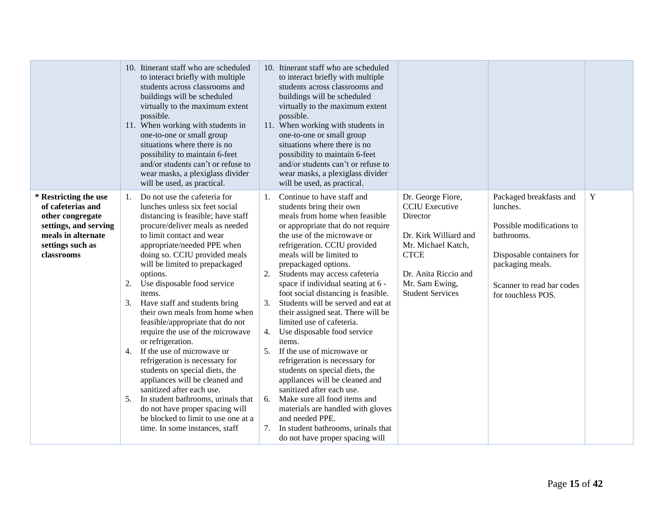|                                                                                                                                                 | 10. Itinerant staff who are scheduled<br>to interact briefly with multiple<br>students across classrooms and<br>buildings will be scheduled<br>virtually to the maximum extent<br>possible.<br>11. When working with students in<br>one-to-one or small group<br>situations where there is no<br>possibility to maintain 6-feet<br>and/or students can't or refuse to<br>wear masks, a plexiglass divider<br>will be used, as practical.                                                                                                                                                                                                                                                                                                                                                                                                  | 10. Itinerant staff who are scheduled<br>to interact briefly with multiple<br>students across classrooms and<br>buildings will be scheduled<br>virtually to the maximum extent<br>possible.<br>11. When working with students in<br>one-to-one or small group<br>situations where there is no<br>possibility to maintain 6-feet<br>and/or students can't or refuse to<br>wear masks, a plexiglass divider<br>will be used, as practical.                                                                                                                                                                                                                                                                                                                                                                                                                                                     |                                                                                                                                                                                           |                                                                                                                                                                                    |   |
|-------------------------------------------------------------------------------------------------------------------------------------------------|-------------------------------------------------------------------------------------------------------------------------------------------------------------------------------------------------------------------------------------------------------------------------------------------------------------------------------------------------------------------------------------------------------------------------------------------------------------------------------------------------------------------------------------------------------------------------------------------------------------------------------------------------------------------------------------------------------------------------------------------------------------------------------------------------------------------------------------------|----------------------------------------------------------------------------------------------------------------------------------------------------------------------------------------------------------------------------------------------------------------------------------------------------------------------------------------------------------------------------------------------------------------------------------------------------------------------------------------------------------------------------------------------------------------------------------------------------------------------------------------------------------------------------------------------------------------------------------------------------------------------------------------------------------------------------------------------------------------------------------------------|-------------------------------------------------------------------------------------------------------------------------------------------------------------------------------------------|------------------------------------------------------------------------------------------------------------------------------------------------------------------------------------|---|
| * Restricting the use<br>of cafeterias and<br>other congregate<br>settings, and serving<br>meals in alternate<br>settings such as<br>classrooms | Do not use the cafeteria for<br>1.<br>lunches unless six feet social<br>distancing is feasible; have staff<br>procure/deliver meals as needed<br>to limit contact and wear<br>appropriate/needed PPE when<br>doing so. CCIU provided meals<br>will be limited to prepackaged<br>options.<br>Use disposable food service<br>2.<br>items.<br>Have staff and students bring<br>3.<br>their own meals from home when<br>feasible/appropriate that do not<br>require the use of the microwave<br>or refrigeration.<br>4. If the use of microwave or<br>refrigeration is necessary for<br>students on special diets, the<br>appliances will be cleaned and<br>sanitized after each use.<br>In student bathrooms, urinals that<br>5.<br>do not have proper spacing will<br>be blocked to limit to use one at a<br>time. In some instances, staff | Continue to have staff and<br>1.<br>students bring their own<br>meals from home when feasible<br>or appropriate that do not require<br>the use of the microwave or<br>refrigeration. CCIU provided<br>meals will be limited to<br>prepackaged options.<br>Students may access cafeteria<br>2.<br>space if individual seating at 6 -<br>foot social distancing is feasible.<br>3.<br>Students will be served and eat at<br>their assigned seat. There will be<br>limited use of cafeteria.<br>Use disposable food service<br>4.<br>items.<br>If the use of microwave or<br>5.<br>refrigeration is necessary for<br>students on special diets, the<br>appliances will be cleaned and<br>sanitized after each use.<br>Make sure all food items and<br>6.<br>materials are handled with gloves<br>and needed PPE.<br>In student bathrooms, urinals that<br>7.<br>do not have proper spacing will | Dr. George Fiore,<br><b>CCIU</b> Executive<br>Director<br>Dr. Kirk Williard and<br>Mr. Michael Katch,<br><b>CTCE</b><br>Dr. Anita Riccio and<br>Mr. Sam Ewing,<br><b>Student Services</b> | Packaged breakfasts and<br>lunches.<br>Possible modifications to<br>bathrooms.<br>Disposable containers for<br>packaging meals.<br>Scanner to read bar codes<br>for touchless POS. | Y |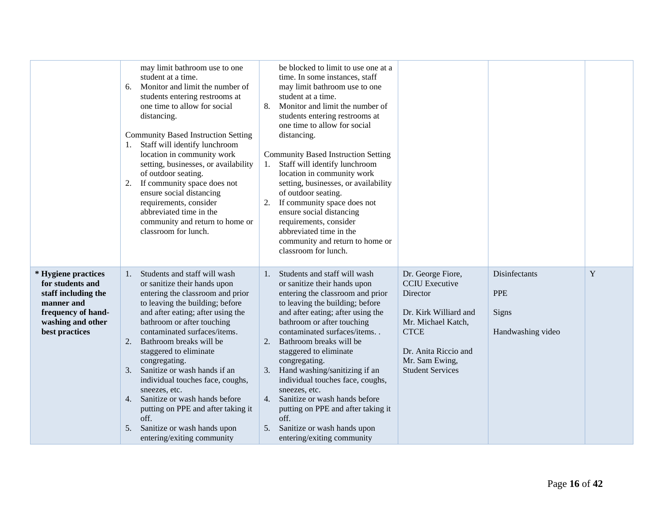|                                                                                                                                           | may limit bathroom use to one<br>student at a time.<br>Monitor and limit the number of<br>6.<br>students entering restrooms at<br>one time to allow for social<br>distancing.<br><b>Community Based Instruction Setting</b><br>1. Staff will identify lunchroom<br>location in community work<br>setting, businesses, or availability<br>of outdoor seating.<br>If community space does not<br>2.<br>ensure social distancing<br>requirements, consider<br>abbreviated time in the<br>community and return to home or<br>classroom for lunch.                               | be blocked to limit to use one at a<br>time. In some instances, staff<br>may limit bathroom use to one<br>student at a time.<br>8.<br>Monitor and limit the number of<br>students entering restrooms at<br>one time to allow for social<br>distancing.<br><b>Community Based Instruction Setting</b><br>Staff will identify lunchroom<br>1.<br>location in community work<br>setting, businesses, or availability<br>of outdoor seating.<br>If community space does not<br>2.<br>ensure social distancing<br>requirements, consider<br>abbreviated time in the<br>community and return to home or<br>classroom for lunch. |                                                                                                                                                                                           |                                                           |   |
|-------------------------------------------------------------------------------------------------------------------------------------------|-----------------------------------------------------------------------------------------------------------------------------------------------------------------------------------------------------------------------------------------------------------------------------------------------------------------------------------------------------------------------------------------------------------------------------------------------------------------------------------------------------------------------------------------------------------------------------|---------------------------------------------------------------------------------------------------------------------------------------------------------------------------------------------------------------------------------------------------------------------------------------------------------------------------------------------------------------------------------------------------------------------------------------------------------------------------------------------------------------------------------------------------------------------------------------------------------------------------|-------------------------------------------------------------------------------------------------------------------------------------------------------------------------------------------|-----------------------------------------------------------|---|
| * Hygiene practices<br>for students and<br>staff including the<br>manner and<br>frequency of hand-<br>washing and other<br>best practices | Students and staff will wash<br>1.<br>or sanitize their hands upon<br>entering the classroom and prior<br>to leaving the building; before<br>and after eating; after using the<br>bathroom or after touching<br>contaminated surfaces/items.<br>Bathroom breaks will be<br>2.<br>staggered to eliminate<br>congregating.<br>Sanitize or wash hands if an<br>3.<br>individual touches face, coughs,<br>sneezes, etc.<br>Sanitize or wash hands before<br>4.<br>putting on PPE and after taking it<br>off.<br>Sanitize or wash hands upon<br>5.<br>entering/exiting community | Students and staff will wash<br>$\mathbf{1}$ .<br>or sanitize their hands upon<br>entering the classroom and prior<br>to leaving the building; before<br>and after eating; after using the<br>bathroom or after touching<br>contaminated surfaces/items<br>2.<br>Bathroom breaks will be<br>staggered to eliminate<br>congregating.<br>Hand washing/sanitizing if an<br>3.<br>individual touches face, coughs,<br>sneezes, etc.<br>Sanitize or wash hands before<br>4.<br>putting on PPE and after taking it<br>off.<br>Sanitize or wash hands upon<br>5.<br>entering/exiting community                                   | Dr. George Fiore,<br><b>CCIU</b> Executive<br>Director<br>Dr. Kirk Williard and<br>Mr. Michael Katch,<br><b>CTCE</b><br>Dr. Anita Riccio and<br>Mr. Sam Ewing,<br><b>Student Services</b> | Disinfectants<br><b>PPE</b><br>Signs<br>Handwashing video | Y |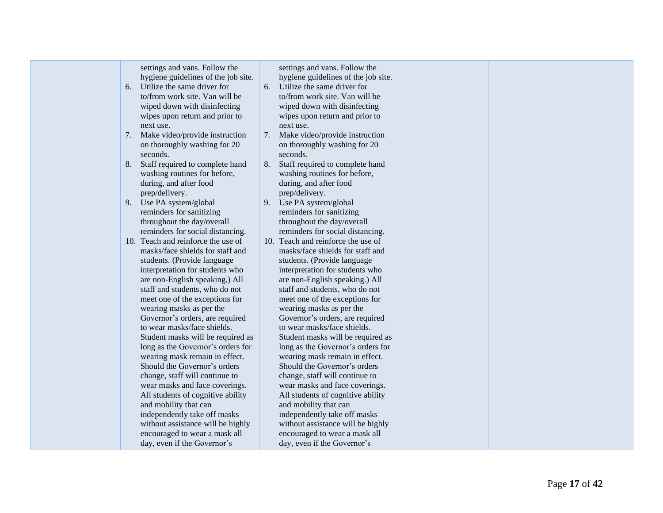|  | settings and vans. Follow the<br>hygiene guidelines of the job site.<br>Utilize the same driver for<br>6.<br>to/from work site. Van will be<br>wiped down with disinfecting<br>wipes upon return and prior to<br>next use.<br>Make video/provide instruction<br>7.<br>on thoroughly washing for 20<br>seconds.<br>Staff required to complete hand<br>8.<br>washing routines for before,<br>during, and after food<br>prep/delivery.<br>Use PA system/global<br>9.<br>reminders for sanitizing<br>throughout the day/overall<br>reminders for social distancing.<br>10. Teach and reinforce the use of<br>masks/face shields for staff and<br>students. (Provide language<br>interpretation for students who<br>are non-English speaking.) All<br>staff and students, who do not<br>meet one of the exceptions for<br>wearing masks as per the<br>Governor's orders, are required<br>to wear masks/face shields.<br>Student masks will be required as<br>long as the Governor's orders for<br>wearing mask remain in effect.<br>Should the Governor's orders<br>change, staff will continue to<br>wear masks and face coverings.<br>All students of cognitive ability<br>and mobility that can<br>independently take off masks<br>without assistance will be highly<br>encouraged to wear a mask all<br>day, even if the Governor's | settings and vans. Follow the<br>hygiene guidelines of the job site.<br>Utilize the same driver for<br>6.<br>to/from work site. Van will be<br>wiped down with disinfecting<br>wipes upon return and prior to<br>next use.<br>7. Make video/provide instruction<br>on thoroughly washing for 20<br>seconds.<br>Staff required to complete hand<br>8.<br>washing routines for before,<br>during, and after food<br>prep/delivery.<br>Use PA system/global<br>9.<br>reminders for sanitizing<br>throughout the day/overall<br>reminders for social distancing.<br>10. Teach and reinforce the use of<br>masks/face shields for staff and<br>students. (Provide language<br>interpretation for students who<br>are non-English speaking.) All<br>staff and students, who do not<br>meet one of the exceptions for<br>wearing masks as per the<br>Governor's orders, are required<br>to wear masks/face shields.<br>Student masks will be required as<br>long as the Governor's orders for<br>wearing mask remain in effect.<br>Should the Governor's orders<br>change, staff will continue to<br>wear masks and face coverings.<br>All students of cognitive ability<br>and mobility that can<br>independently take off masks<br>without assistance will be highly<br>encouraged to wear a mask all<br>day, even if the Governor's |  |  |  |  |
|--|------------------------------------------------------------------------------------------------------------------------------------------------------------------------------------------------------------------------------------------------------------------------------------------------------------------------------------------------------------------------------------------------------------------------------------------------------------------------------------------------------------------------------------------------------------------------------------------------------------------------------------------------------------------------------------------------------------------------------------------------------------------------------------------------------------------------------------------------------------------------------------------------------------------------------------------------------------------------------------------------------------------------------------------------------------------------------------------------------------------------------------------------------------------------------------------------------------------------------------------------------------------------------------------------------------------------------------|---------------------------------------------------------------------------------------------------------------------------------------------------------------------------------------------------------------------------------------------------------------------------------------------------------------------------------------------------------------------------------------------------------------------------------------------------------------------------------------------------------------------------------------------------------------------------------------------------------------------------------------------------------------------------------------------------------------------------------------------------------------------------------------------------------------------------------------------------------------------------------------------------------------------------------------------------------------------------------------------------------------------------------------------------------------------------------------------------------------------------------------------------------------------------------------------------------------------------------------------------------------------------------------------------------------------------------|--|--|--|--|
|--|------------------------------------------------------------------------------------------------------------------------------------------------------------------------------------------------------------------------------------------------------------------------------------------------------------------------------------------------------------------------------------------------------------------------------------------------------------------------------------------------------------------------------------------------------------------------------------------------------------------------------------------------------------------------------------------------------------------------------------------------------------------------------------------------------------------------------------------------------------------------------------------------------------------------------------------------------------------------------------------------------------------------------------------------------------------------------------------------------------------------------------------------------------------------------------------------------------------------------------------------------------------------------------------------------------------------------------|---------------------------------------------------------------------------------------------------------------------------------------------------------------------------------------------------------------------------------------------------------------------------------------------------------------------------------------------------------------------------------------------------------------------------------------------------------------------------------------------------------------------------------------------------------------------------------------------------------------------------------------------------------------------------------------------------------------------------------------------------------------------------------------------------------------------------------------------------------------------------------------------------------------------------------------------------------------------------------------------------------------------------------------------------------------------------------------------------------------------------------------------------------------------------------------------------------------------------------------------------------------------------------------------------------------------------------|--|--|--|--|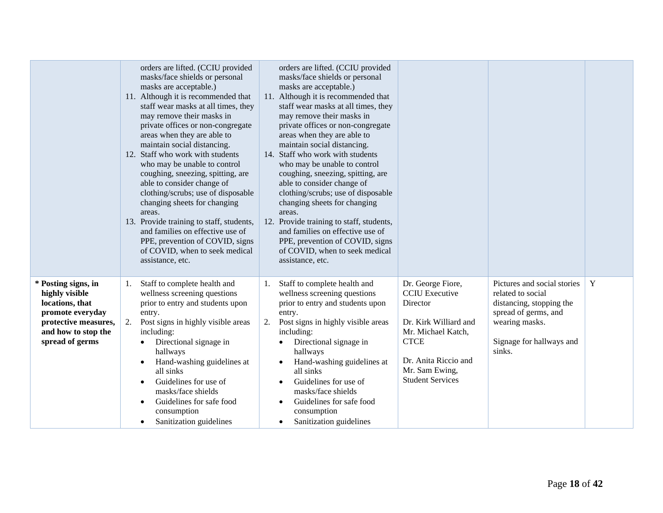|                                                                                                                                                | orders are lifted. (CCIU provided<br>masks/face shields or personal<br>masks are acceptable.)<br>11. Although it is recommended that<br>staff wear masks at all times, they<br>may remove their masks in<br>private offices or non-congregate<br>areas when they are able to<br>maintain social distancing.<br>12. Staff who work with students<br>who may be unable to control<br>coughing, sneezing, spitting, are<br>able to consider change of<br>clothing/scrubs; use of disposable<br>changing sheets for changing<br>areas.<br>13. Provide training to staff, students,<br>and families on effective use of<br>PPE, prevention of COVID, signs<br>of COVID, when to seek medical<br>assistance, etc. | orders are lifted. (CCIU provided<br>masks/face shields or personal<br>masks are acceptable.)<br>11. Although it is recommended that<br>staff wear masks at all times, they<br>may remove their masks in<br>private offices or non-congregate<br>areas when they are able to<br>maintain social distancing.<br>14. Staff who work with students<br>who may be unable to control<br>coughing, sneezing, spitting, are<br>able to consider change of<br>clothing/scrubs; use of disposable<br>changing sheets for changing<br>areas.<br>12. Provide training to staff, students,<br>and families on effective use of<br>PPE, prevention of COVID, signs<br>of COVID, when to seek medical<br>assistance, etc. |                                                                                                                                                                                           |                                                                                                                                                              |   |
|------------------------------------------------------------------------------------------------------------------------------------------------|-------------------------------------------------------------------------------------------------------------------------------------------------------------------------------------------------------------------------------------------------------------------------------------------------------------------------------------------------------------------------------------------------------------------------------------------------------------------------------------------------------------------------------------------------------------------------------------------------------------------------------------------------------------------------------------------------------------|-------------------------------------------------------------------------------------------------------------------------------------------------------------------------------------------------------------------------------------------------------------------------------------------------------------------------------------------------------------------------------------------------------------------------------------------------------------------------------------------------------------------------------------------------------------------------------------------------------------------------------------------------------------------------------------------------------------|-------------------------------------------------------------------------------------------------------------------------------------------------------------------------------------------|--------------------------------------------------------------------------------------------------------------------------------------------------------------|---|
| * Posting signs, in<br>highly visible<br>locations, that<br>promote everyday<br>protective measures,<br>and how to stop the<br>spread of germs | Staff to complete health and<br>1.<br>wellness screening questions<br>prior to entry and students upon<br>entry.<br>Post signs in highly visible areas<br>2.<br>including:<br>Directional signage in<br>$\bullet$<br>hallways<br>Hand-washing guidelines at<br>all sinks<br>Guidelines for use of<br>masks/face shields<br>Guidelines for safe food<br>consumption<br>Sanitization guidelines                                                                                                                                                                                                                                                                                                               | Staff to complete health and<br>1.<br>wellness screening questions<br>prior to entry and students upon<br>entry.<br>Post signs in highly visible areas<br>2.<br>including:<br>Directional signage in<br>$\bullet$<br>hallways<br>Hand-washing guidelines at<br>$\bullet$<br>all sinks<br>Guidelines for use of<br>$\bullet$<br>masks/face shields<br>Guidelines for safe food<br>$\bullet$<br>consumption<br>Sanitization guidelines<br>$\bullet$                                                                                                                                                                                                                                                           | Dr. George Fiore,<br><b>CCIU</b> Executive<br>Director<br>Dr. Kirk Williard and<br>Mr. Michael Katch,<br><b>CTCE</b><br>Dr. Anita Riccio and<br>Mr. Sam Ewing,<br><b>Student Services</b> | Pictures and social stories<br>related to social<br>distancing, stopping the<br>spread of germs, and<br>wearing masks.<br>Signage for hallways and<br>sinks. | Y |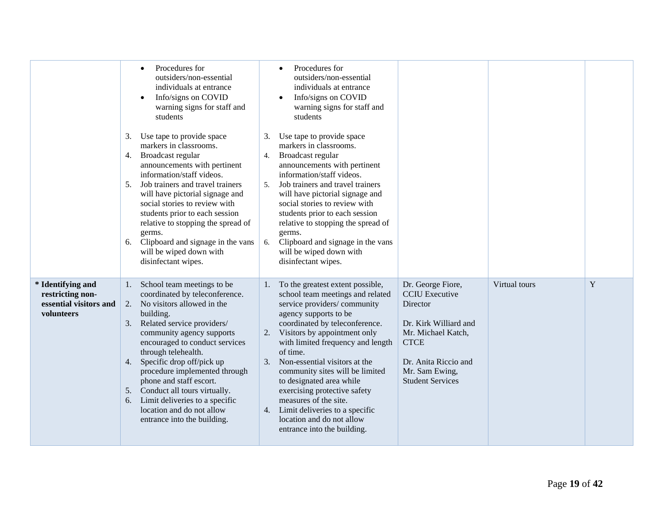|                                                                               | Procedures for<br>outsiders/non-essential<br>individuals at entrance<br>Info/signs on COVID<br>warning signs for staff and<br>students<br>Use tape to provide space<br>3.<br>markers in classrooms.<br>Broadcast regular<br>4.<br>announcements with pertinent<br>information/staff videos.<br>Job trainers and travel trainers<br>5.<br>will have pictorial signage and<br>social stories to review with<br>students prior to each session<br>relative to stopping the spread of<br>germs.<br>Clipboard and signage in the vans<br>6.<br>will be wiped down with<br>disinfectant wipes. | Procedures for<br>outsiders/non-essential<br>individuals at entrance<br>Info/signs on COVID<br>$\bullet$<br>warning signs for staff and<br>students<br>Use tape to provide space<br>3.<br>markers in classrooms.<br>Broadcast regular<br>4.<br>announcements with pertinent<br>information/staff videos.<br>Job trainers and travel trainers<br>5.<br>will have pictorial signage and<br>social stories to review with<br>students prior to each session<br>relative to stopping the spread of<br>germs.<br>Clipboard and signage in the vans<br>6.<br>will be wiped down with<br>disinfectant wipes.                                                                                                              |                              |
|-------------------------------------------------------------------------------|------------------------------------------------------------------------------------------------------------------------------------------------------------------------------------------------------------------------------------------------------------------------------------------------------------------------------------------------------------------------------------------------------------------------------------------------------------------------------------------------------------------------------------------------------------------------------------------|--------------------------------------------------------------------------------------------------------------------------------------------------------------------------------------------------------------------------------------------------------------------------------------------------------------------------------------------------------------------------------------------------------------------------------------------------------------------------------------------------------------------------------------------------------------------------------------------------------------------------------------------------------------------------------------------------------------------|------------------------------|
| * Identifying and<br>restricting non-<br>essential visitors and<br>volunteers | School team meetings to be<br>1.<br>coordinated by teleconference.<br>2.<br>No visitors allowed in the<br>building.<br>Related service providers/<br>3.<br>community agency supports<br>encouraged to conduct services<br>through telehealth.<br>Specific drop off/pick up<br>4.<br>procedure implemented through<br>phone and staff escort.<br>5. Conduct all tours virtually.<br>Limit deliveries to a specific<br>6.<br>location and do not allow<br>entrance into the building.                                                                                                      | Dr. George Fiore,<br>To the greatest extent possible,<br><b>CCIU</b> Executive<br>school team meetings and related<br>service providers/community<br>Director<br>agency supports to be<br>coordinated by teleconference.<br>Dr. Kirk Williard and<br>Visitors by appointment only<br>Mr. Michael Katch,<br>2.<br>with limited frequency and length<br><b>CTCE</b><br>of time.<br>Non-essential visitors at the<br>3.<br>Dr. Anita Riccio and<br>community sites will be limited<br>Mr. Sam Ewing,<br>to designated area while<br><b>Student Services</b><br>exercising protective safety<br>measures of the site.<br>4. Limit deliveries to a specific<br>location and do not allow<br>entrance into the building. | Virtual tours<br>$\mathbf Y$ |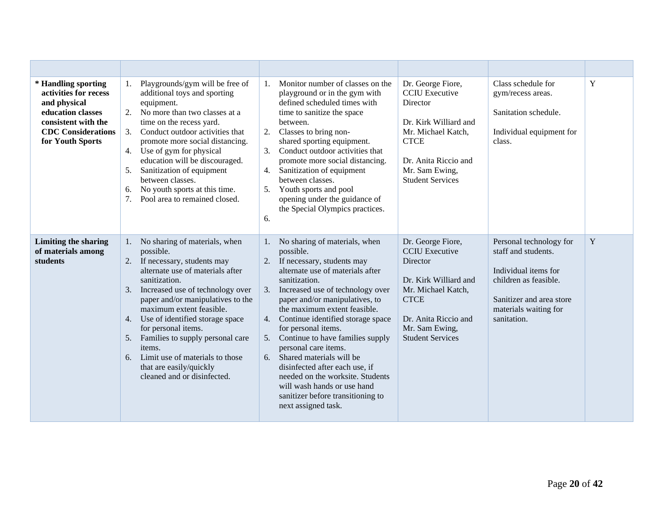| * Handling sporting<br>activities for recess<br>and physical<br>education classes<br>consistent with the<br><b>CDC</b> Considerations<br>for Youth Sports | Playgrounds/gym will be free of<br>$1_{\cdot}$<br>additional toys and sporting<br>equipment.<br>No more than two classes at a<br>2.<br>time on the recess yard.<br>Conduct outdoor activities that<br>3.<br>promote more social distancing.<br>Use of gym for physical<br>4.<br>education will be discouraged.<br>Sanitization of equipment<br>5.<br>between classes.<br>No youth sports at this time.<br>6.<br>7.<br>Pool area to remained closed.                         | Monitor number of classes on the<br>$\mathbf{1}$ .<br>playground or in the gym with<br>defined scheduled times with<br>time to sanitize the space<br>between.<br>2.<br>Classes to bring non-<br>shared sporting equipment.<br>Conduct outdoor activities that<br>$\mathfrak{Z}$ .<br>promote more social distancing.<br>Sanitization of equipment<br>between classes.<br>Youth sports and pool<br>opening under the guidance of<br>the Special Olympics practices.<br>6.                                                                                                         | Dr. George Fiore,<br><b>CCIU</b> Executive<br><b>Director</b><br>Dr. Kirk Williard and<br>Mr. Michael Katch,<br><b>CTCE</b><br>Dr. Anita Riccio and<br>Mr. Sam Ewing,<br><b>Student Services</b> | Class schedule for<br>gym/recess areas.<br>Sanitation schedule.<br>Individual equipment for<br>class.                                                               | Y |
|-----------------------------------------------------------------------------------------------------------------------------------------------------------|-----------------------------------------------------------------------------------------------------------------------------------------------------------------------------------------------------------------------------------------------------------------------------------------------------------------------------------------------------------------------------------------------------------------------------------------------------------------------------|----------------------------------------------------------------------------------------------------------------------------------------------------------------------------------------------------------------------------------------------------------------------------------------------------------------------------------------------------------------------------------------------------------------------------------------------------------------------------------------------------------------------------------------------------------------------------------|--------------------------------------------------------------------------------------------------------------------------------------------------------------------------------------------------|---------------------------------------------------------------------------------------------------------------------------------------------------------------------|---|
| <b>Limiting the sharing</b><br>of materials among<br>students                                                                                             | No sharing of materials, when<br>1.<br>possible.<br>If necessary, students may<br>2.<br>alternate use of materials after<br>sanitization.<br>Increased use of technology over<br>3.<br>paper and/or manipulatives to the<br>maximum extent feasible.<br>Use of identified storage space<br>4.<br>for personal items.<br>Families to supply personal care<br>5.<br>items.<br>Limit use of materials to those<br>6.<br>that are easily/quickly<br>cleaned and or disinfected. | No sharing of materials, when<br>possible.<br>2. If necessary, students may<br>alternate use of materials after<br>sanitization.<br>Increased use of technology over<br>3.<br>paper and/or manipulatives, to<br>the maximum extent feasible.<br>Continue identified storage space<br>4.<br>for personal items.<br>Continue to have families supply<br>5.<br>personal care items.<br>6. Shared materials will be<br>disinfected after each use, if<br>needed on the worksite. Students<br>will wash hands or use hand<br>sanitizer before transitioning to<br>next assigned task. | Dr. George Fiore,<br><b>CCIU</b> Executive<br><b>Director</b><br>Dr. Kirk Williard and<br>Mr. Michael Katch,<br><b>CTCE</b><br>Dr. Anita Riccio and<br>Mr. Sam Ewing,<br><b>Student Services</b> | Personal technology for<br>staff and students.<br>Individual items for<br>children as feasible.<br>Sanitizer and area store<br>materials waiting for<br>sanitation. | Y |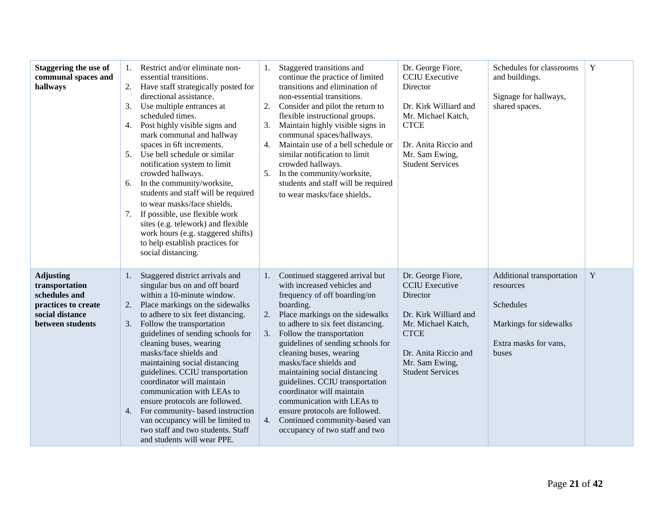| <b>Staggering the use of</b><br>communal spaces and<br>hallways                                                   | 1.<br>2.<br>3.<br>4.<br>5.<br>6.<br>7. | Restrict and/or eliminate non-<br>essential transitions.<br>Have staff strategically posted for<br>directional assistance.<br>Use multiple entrances at<br>scheduled times.<br>Post highly visible signs and<br>mark communal and hallway<br>spaces in 6ft increments.<br>Use bell schedule or similar<br>notification system to limit<br>crowded hallways.<br>In the community/worksite,<br>students and staff will be required<br>to wear masks/face shields.<br>If possible, use flexible work<br>sites (e.g. telework) and flexible<br>work hours (e.g. staggered shifts)<br>to help establish practices for<br>social distancing. | 2.<br>3.<br>4.<br>5. | Staggered transitions and<br>continue the practice of limited<br>transitions and elimination of<br>non-essential transitions.<br>Consider and pilot the return to<br>flexible instructional groups.<br>Maintain highly visible signs in<br>communal spaces/hallways.<br>Maintain use of a bell schedule or<br>similar notification to limit<br>crowded hallways.<br>In the community/worksite,<br>students and staff will be required<br>to wear masks/face shields.                                                                           | Dr. George Fiore,<br><b>CCIU</b> Executive<br>Director<br>Dr. Kirk Williard and<br>Mr. Michael Katch,<br><b>CTCE</b><br>Dr. Anita Riccio and<br>Mr. Sam Ewing,<br><b>Student Services</b> | Schedules for classrooms<br>and buildings.<br>Signage for hallways,<br>shared spaces.                           | Y           |
|-------------------------------------------------------------------------------------------------------------------|----------------------------------------|----------------------------------------------------------------------------------------------------------------------------------------------------------------------------------------------------------------------------------------------------------------------------------------------------------------------------------------------------------------------------------------------------------------------------------------------------------------------------------------------------------------------------------------------------------------------------------------------------------------------------------------|----------------------|------------------------------------------------------------------------------------------------------------------------------------------------------------------------------------------------------------------------------------------------------------------------------------------------------------------------------------------------------------------------------------------------------------------------------------------------------------------------------------------------------------------------------------------------|-------------------------------------------------------------------------------------------------------------------------------------------------------------------------------------------|-----------------------------------------------------------------------------------------------------------------|-------------|
| <b>Adjusting</b><br>transportation<br>schedules and<br>practices to create<br>social distance<br>between students | 1.<br>2.<br>3.                         | Staggered district arrivals and<br>singular bus on and off board<br>within a 10-minute window.<br>Place markings on the sidewalks<br>to adhere to six feet distancing.<br>Follow the transportation<br>guidelines of sending schools for<br>cleaning buses, wearing<br>masks/face shields and<br>maintaining social distancing<br>guidelines. CCIU transportation<br>coordinator will maintain<br>communication with LEAs to<br>ensure protocols are followed.<br>4. For community- based instruction<br>van occupancy will be limited to<br>two staff and two students. Staff<br>and students will wear PPE.                          | 2.<br>3.<br>4.       | Continued staggered arrival but<br>with increased vehicles and<br>frequency of off boarding/on<br>boarding.<br>Place markings on the sidewalks<br>to adhere to six feet distancing.<br>Follow the transportation<br>guidelines of sending schools for<br>cleaning buses, wearing<br>masks/face shields and<br>maintaining social distancing<br>guidelines. CCIU transportation<br>coordinator will maintain<br>communication with LEAs to<br>ensure protocols are followed.<br>Continued community-based van<br>occupancy of two staff and two | Dr. George Fiore,<br><b>CCIU</b> Executive<br>Director<br>Dr. Kirk Williard and<br>Mr. Michael Katch,<br><b>CTCE</b><br>Dr. Anita Riccio and<br>Mr. Sam Ewing,<br><b>Student Services</b> | Additional transportation<br>resources<br>Schedules<br>Markings for sidewalks<br>Extra masks for vans,<br>buses | $\mathbf Y$ |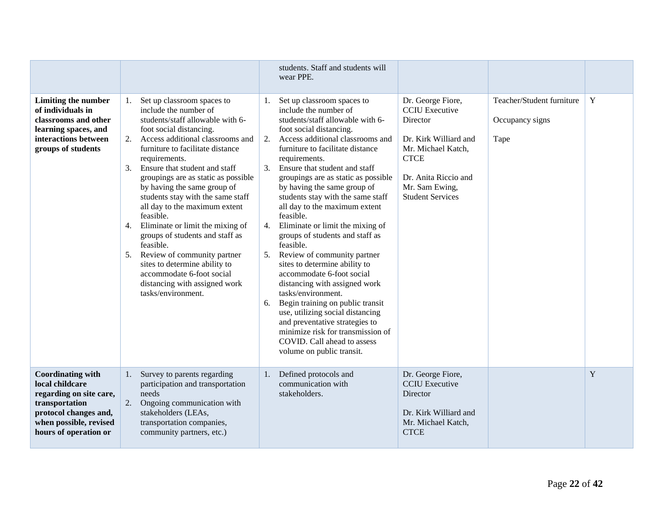|                                                                                                                                                                      |                                                                                                                                                                                                                                                                                                                                                                                                                                                                                                                                                                                                                                                                             | students. Staff and students will<br>wear PPE.                                                                                                                                                                                                                                                                                                                                                                                                                                                                                                                                                                                                                                                                                                                                                                                                                                               |                                                                                                                                                                                           |                                                      |             |
|----------------------------------------------------------------------------------------------------------------------------------------------------------------------|-----------------------------------------------------------------------------------------------------------------------------------------------------------------------------------------------------------------------------------------------------------------------------------------------------------------------------------------------------------------------------------------------------------------------------------------------------------------------------------------------------------------------------------------------------------------------------------------------------------------------------------------------------------------------------|----------------------------------------------------------------------------------------------------------------------------------------------------------------------------------------------------------------------------------------------------------------------------------------------------------------------------------------------------------------------------------------------------------------------------------------------------------------------------------------------------------------------------------------------------------------------------------------------------------------------------------------------------------------------------------------------------------------------------------------------------------------------------------------------------------------------------------------------------------------------------------------------|-------------------------------------------------------------------------------------------------------------------------------------------------------------------------------------------|------------------------------------------------------|-------------|
| Limiting the number<br>of individuals in<br>classrooms and other<br>learning spaces, and<br>interactions between<br>groups of students                               | Set up classroom spaces to<br>1.<br>include the number of<br>students/staff allowable with 6-<br>foot social distancing.<br>Access additional classrooms and<br>2.<br>furniture to facilitate distance<br>requirements.<br>Ensure that student and staff<br>3.<br>groupings are as static as possible<br>by having the same group of<br>students stay with the same staff<br>all day to the maximum extent<br>feasible.<br>Eliminate or limit the mixing of<br>4.<br>groups of students and staff as<br>feasible.<br>Review of community partner<br>5.<br>sites to determine ability to<br>accommodate 6-foot social<br>distancing with assigned work<br>tasks/environment. | Set up classroom spaces to<br>1.<br>include the number of<br>students/staff allowable with 6-<br>foot social distancing.<br>Access additional classrooms and<br>2.<br>furniture to facilitate distance<br>requirements.<br>Ensure that student and staff<br>3.<br>groupings are as static as possible<br>by having the same group of<br>students stay with the same staff<br>all day to the maximum extent<br>feasible.<br>Eliminate or limit the mixing of<br>4.<br>groups of students and staff as<br>feasible.<br>Review of community partner<br>5.<br>sites to determine ability to<br>accommodate 6-foot social<br>distancing with assigned work<br>tasks/environment.<br>Begin training on public transit<br>6.<br>use, utilizing social distancing<br>and preventative strategies to<br>minimize risk for transmission of<br>COVID. Call ahead to assess<br>volume on public transit. | Dr. George Fiore,<br><b>CCIU</b> Executive<br>Director<br>Dr. Kirk Williard and<br>Mr. Michael Katch,<br><b>CTCE</b><br>Dr. Anita Riccio and<br>Mr. Sam Ewing,<br><b>Student Services</b> | Teacher/Student furniture<br>Occupancy signs<br>Tape | $\mathbf Y$ |
| <b>Coordinating with</b><br>local childcare<br>regarding on site care,<br>transportation<br>protocol changes and,<br>when possible, revised<br>hours of operation or | Survey to parents regarding<br>1.<br>participation and transportation<br>needs<br>Ongoing communication with<br>2.<br>stakeholders (LEAs,<br>transportation companies,<br>community partners, etc.)                                                                                                                                                                                                                                                                                                                                                                                                                                                                         | Defined protocols and<br>communication with<br>stakeholders.                                                                                                                                                                                                                                                                                                                                                                                                                                                                                                                                                                                                                                                                                                                                                                                                                                 | Dr. George Fiore,<br><b>CCIU</b> Executive<br>Director<br>Dr. Kirk Williard and<br>Mr. Michael Katch,<br><b>CTCE</b>                                                                      |                                                      | $\mathbf Y$ |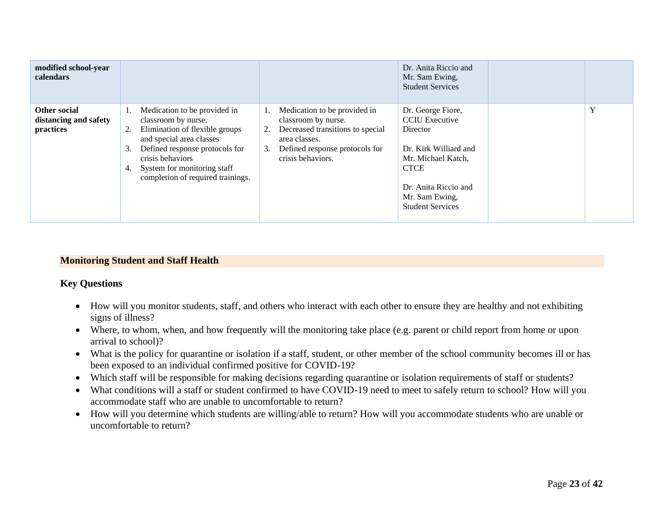| modified school-year<br>calendars                         |                                                                                                                                                                                                                                                                     |                                                                                                                                                                             | Dr. Anita Riccio and<br>Mr. Sam Ewing,<br><b>Student Services</b>                                                                                                                         |   |
|-----------------------------------------------------------|---------------------------------------------------------------------------------------------------------------------------------------------------------------------------------------------------------------------------------------------------------------------|-----------------------------------------------------------------------------------------------------------------------------------------------------------------------------|-------------------------------------------------------------------------------------------------------------------------------------------------------------------------------------------|---|
| <b>Other social</b><br>distancing and safety<br>practices | Medication to be provided in<br>Ι.<br>classroom by nurse.<br>Elimination of flexible groups<br>2.<br>and special area classes<br>Defined response protocols for<br>3.<br>crisis behaviors<br>System for monitoring staff<br>4.<br>completion of required trainings. | Medication to be provided in<br>classroom by nurse.<br>Decreased transitions to special<br>2.<br>area classes.<br>Defined response protocols for<br>3.<br>crisis behaviors. | Dr. George Fiore,<br><b>CCIU</b> Executive<br>Director<br>Dr. Kirk Williard and<br>Mr. Michael Katch,<br><b>CTCE</b><br>Dr. Anita Riccio and<br>Mr. Sam Ewing,<br><b>Student Services</b> | Y |

#### **Monitoring Student and Staff Health**

#### **Key Questions**

- How will you monitor students, staff, and others who interact with each other to ensure they are healthy and not exhibiting signs of illness?
- Where, to whom, when, and how frequently will the monitoring take place (e.g. parent or child report from home or upon arrival to school)?
- What is the policy for quarantine or isolation if a staff, student, or other member of the school community becomes ill or has been exposed to an individual confirmed positive for COVID-19?
- <span id="page-22-0"></span>• Which staff will be responsible for making decisions regarding quarantine or isolation requirements of staff or students?
- What conditions will a staff or student confirmed to have COVID-19 need to meet to safely return to school? How will you accommodate staff who are unable to uncomfortable to return?
- How will you determine which students are willing/able to return? How will you accommodate students who are unable or uncomfortable to return?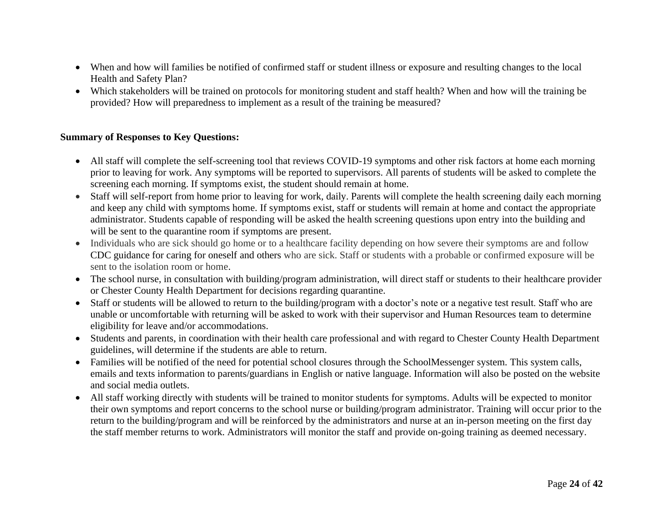- When and how will families be notified of confirmed staff or student illness or exposure and resulting changes to the local Health and Safety Plan?
- Which stakeholders will be trained on protocols for monitoring student and staff health? When and how will the training be provided? How will preparedness to implement as a result of the training be measured?

- All staff will complete the self-screening tool that reviews COVID-19 symptoms and other risk factors at home each morning prior to leaving for work. Any symptoms will be reported to supervisors. All parents of students will be asked to complete the screening each morning. If symptoms exist, the student should remain at home.
- Staff will self-report from home prior to leaving for work, daily. Parents will complete the health screening daily each morning and keep any child with symptoms home. If symptoms exist, staff or students will remain at home and contact the appropriate administrator. Students capable of responding will be asked the health screening questions upon entry into the building and will be sent to the quarantine room if symptoms are present.
- Individuals who are sick should go home or to a healthcare facility depending on how severe their symptoms are and follow CDC guidance for caring for oneself and others who are sick. Staff or students with a probable or confirmed exposure will be sent to the isolation room or home.
- The school nurse, in consultation with building/program administration, will direct staff or students to their healthcare provider or Chester County Health Department for decisions regarding quarantine.
- Staff or students will be allowed to return to the building/program with a doctor's note or a negative test result. Staff who are unable or uncomfortable with returning will be asked to work with their supervisor and Human Resources team to determine eligibility for leave and/or accommodations.
- Students and parents, in coordination with their health care professional and with regard to Chester County Health Department guidelines, will determine if the students are able to return.
- Families will be notified of the need for potential school closures through the SchoolMessenger system. This system calls, emails and texts information to parents/guardians in English or native language. Information will also be posted on the website and social media outlets.
- All staff working directly with students will be trained to monitor students for symptoms. Adults will be expected to monitor their own symptoms and report concerns to the school nurse or building/program administrator. Training will occur prior to the return to the building/program and will be reinforced by the administrators and nurse at an in-person meeting on the first day the staff member returns to work. Administrators will monitor the staff and provide on-going training as deemed necessary.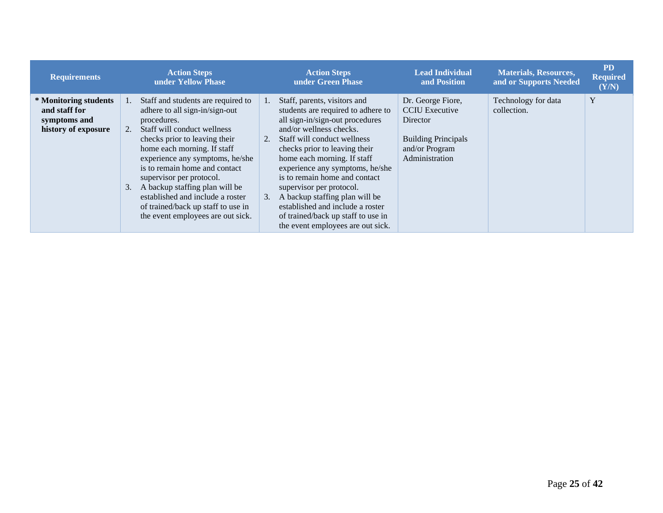| <b>Requirements</b>                                                           | <b>Action Steps</b><br>under Yellow Phase                                                                                                                                                                                                                                                                                                                                                                                                             | <b>Action Steps</b><br>under Green Phase                                                                                                                                                                                                                                                                                                                                                                                                                                                           | <b>Lead Individual</b><br>and Position                                                                                   | <b>Materials, Resources,</b><br>and or Supports Needed | <b>PD</b><br><b>Required</b><br>(Y/N) |
|-------------------------------------------------------------------------------|-------------------------------------------------------------------------------------------------------------------------------------------------------------------------------------------------------------------------------------------------------------------------------------------------------------------------------------------------------------------------------------------------------------------------------------------------------|----------------------------------------------------------------------------------------------------------------------------------------------------------------------------------------------------------------------------------------------------------------------------------------------------------------------------------------------------------------------------------------------------------------------------------------------------------------------------------------------------|--------------------------------------------------------------------------------------------------------------------------|--------------------------------------------------------|---------------------------------------|
| * Monitoring students<br>and staff for<br>symptoms and<br>history of exposure | Staff and students are required to<br>1.<br>adhere to all sign-in/sign-out<br>procedures.<br>Staff will conduct wellness<br>2.<br>checks prior to leaving their<br>home each morning. If staff<br>experience any symptoms, he/she<br>is to remain home and contact<br>supervisor per protocol.<br>A backup staffing plan will be<br>3.<br>established and include a roster<br>of trained/back up staff to use in<br>the event employees are out sick. | Staff, parents, visitors and<br>1.<br>students are required to adhere to<br>all sign-in/sign-out procedures<br>and/or wellness checks.<br>Staff will conduct wellness<br>2.<br>checks prior to leaving their<br>home each morning. If staff<br>experience any symptoms, he/she<br>is to remain home and contact<br>supervisor per protocol.<br>A backup staffing plan will be<br>3.<br>established and include a roster<br>of trained/back up staff to use in<br>the event employees are out sick. | Dr. George Fiore,<br><b>CCIU</b> Executive<br>Director<br><b>Building Principals</b><br>and/or Program<br>Administration | Technology for data<br>collection.                     | Y                                     |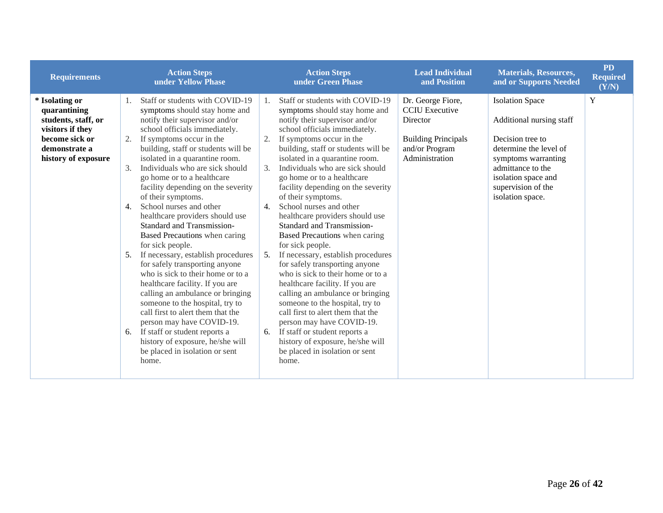| <b>Requirements</b>                                                                                                                 | <b>Action Steps</b><br>under Yellow Phase                                                                                                                                                                                                                                                                                                                                                                                                                                                                                                                                                                                                                                                                                                                                                                                                                                                                                                                                  | <b>Action Steps</b><br>under Green Phase                                                                                                                                                                                                                                                                                                                                                                                                                                                                                                                                                                                                                                                                                                                                                                                                                                                                                                                                                                        | <b>Lead Individual</b><br>and Position                                                                                   | <b>Materials, Resources,</b><br>and or Supports Needed                                                                                                                                                        | <b>PD</b><br><b>Required</b><br>(Y/N) |
|-------------------------------------------------------------------------------------------------------------------------------------|----------------------------------------------------------------------------------------------------------------------------------------------------------------------------------------------------------------------------------------------------------------------------------------------------------------------------------------------------------------------------------------------------------------------------------------------------------------------------------------------------------------------------------------------------------------------------------------------------------------------------------------------------------------------------------------------------------------------------------------------------------------------------------------------------------------------------------------------------------------------------------------------------------------------------------------------------------------------------|-----------------------------------------------------------------------------------------------------------------------------------------------------------------------------------------------------------------------------------------------------------------------------------------------------------------------------------------------------------------------------------------------------------------------------------------------------------------------------------------------------------------------------------------------------------------------------------------------------------------------------------------------------------------------------------------------------------------------------------------------------------------------------------------------------------------------------------------------------------------------------------------------------------------------------------------------------------------------------------------------------------------|--------------------------------------------------------------------------------------------------------------------------|---------------------------------------------------------------------------------------------------------------------------------------------------------------------------------------------------------------|---------------------------------------|
| * Isolating or<br>quarantining<br>students, staff, or<br>visitors if they<br>become sick or<br>demonstrate a<br>history of exposure | Staff or students with COVID-19<br>1.<br>symptoms should stay home and<br>notify their supervisor and/or<br>school officials immediately.<br>If symptoms occur in the<br>2.<br>building, staff or students will be<br>isolated in a quarantine room.<br>Individuals who are sick should<br>3.<br>go home or to a healthcare<br>facility depending on the severity<br>of their symptoms.<br>School nurses and other<br>4.<br>healthcare providers should use<br><b>Standard and Transmission-</b><br>Based Precautions when caring<br>for sick people.<br>If necessary, establish procedures<br>5.<br>for safely transporting anyone<br>who is sick to their home or to a<br>healthcare facility. If you are<br>calling an ambulance or bringing<br>someone to the hospital, try to<br>call first to alert them that the<br>person may have COVID-19.<br>If staff or student reports a<br>6.<br>history of exposure, he/she will<br>be placed in isolation or sent<br>home. | Staff or students with COVID-19<br>1.<br>symptoms should stay home and<br>notify their supervisor and/or<br>school officials immediately.<br>2.<br>If symptoms occur in the<br>building, staff or students will be<br>isolated in a quarantine room.<br>Individuals who are sick should<br>$\mathcal{F}_{\mathcal{L}}$<br>go home or to a healthcare<br>facility depending on the severity<br>of their symptoms.<br>School nurses and other<br>$\mathbf{4}$ .<br>healthcare providers should use<br><b>Standard and Transmission-</b><br>Based Precautions when caring<br>for sick people.<br>If necessary, establish procedures<br>5.<br>for safely transporting anyone<br>who is sick to their home or to a<br>healthcare facility. If you are<br>calling an ambulance or bringing<br>someone to the hospital, try to<br>call first to alert them that the<br>person may have COVID-19.<br>If staff or student reports a<br>6.<br>history of exposure, he/she will<br>be placed in isolation or sent<br>home. | Dr. George Fiore,<br><b>CCIU</b> Executive<br>Director<br><b>Building Principals</b><br>and/or Program<br>Administration | <b>Isolation Space</b><br>Additional nursing staff<br>Decision tree to<br>determine the level of<br>symptoms warranting<br>admittance to the<br>isolation space and<br>supervision of the<br>isolation space. | Y                                     |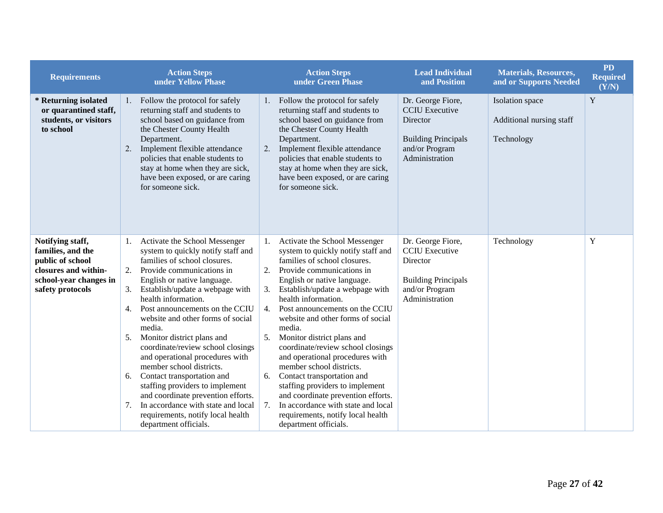| <b>Requirements</b>                                                                                                             | <b>Action Steps</b><br>under Yellow Phase                                                                                                                                                                                                                                                                                                                                                                                                                                                                                                                                                                                                                                                         | <b>Action Steps</b><br>under Green Phase                                                                                                                                                                                                                                                                                                                                                                                                                                                                                                                                                                                                                                                            | <b>Lead Individual</b><br>and Position                                                                                          | <b>Materials, Resources,</b><br>and or Supports Needed    | <b>PD</b><br><b>Required</b><br>(Y/N) |
|---------------------------------------------------------------------------------------------------------------------------------|---------------------------------------------------------------------------------------------------------------------------------------------------------------------------------------------------------------------------------------------------------------------------------------------------------------------------------------------------------------------------------------------------------------------------------------------------------------------------------------------------------------------------------------------------------------------------------------------------------------------------------------------------------------------------------------------------|-----------------------------------------------------------------------------------------------------------------------------------------------------------------------------------------------------------------------------------------------------------------------------------------------------------------------------------------------------------------------------------------------------------------------------------------------------------------------------------------------------------------------------------------------------------------------------------------------------------------------------------------------------------------------------------------------------|---------------------------------------------------------------------------------------------------------------------------------|-----------------------------------------------------------|---------------------------------------|
| * Returning isolated<br>or quarantined staff,<br>students, or visitors<br>to school                                             | Follow the protocol for safely<br>1.<br>returning staff and students to<br>school based on guidance from<br>the Chester County Health<br>Department.<br>Implement flexible attendance<br>2.<br>policies that enable students to<br>stay at home when they are sick,<br>have been exposed, or are caring<br>for someone sick.                                                                                                                                                                                                                                                                                                                                                                      | Follow the protocol for safely<br>$1_{\cdot}$<br>returning staff and students to<br>school based on guidance from<br>the Chester County Health<br>Department.<br>Implement flexible attendance<br>2.<br>policies that enable students to<br>stay at home when they are sick,<br>have been exposed, or are caring<br>for someone sick.                                                                                                                                                                                                                                                                                                                                                               | Dr. George Fiore,<br><b>CCIU</b> Executive<br><b>Director</b><br><b>Building Principals</b><br>and/or Program<br>Administration | Isolation space<br>Additional nursing staff<br>Technology | Y                                     |
| Notifying staff,<br>families, and the<br>public of school<br>closures and within-<br>school-year changes in<br>safety protocols | Activate the School Messenger<br>1.<br>system to quickly notify staff and<br>families of school closures.<br>2.<br>Provide communications in<br>English or native language.<br>Establish/update a webpage with<br>3.<br>health information.<br>Post announcements on the CCIU<br>4.<br>website and other forms of social<br>media.<br>Monitor district plans and<br>5.<br>coordinate/review school closings<br>and operational procedures with<br>member school districts.<br>Contact transportation and<br>6.<br>staffing providers to implement<br>and coordinate prevention efforts.<br>In accordance with state and local<br>7.<br>requirements, notify local health<br>department officials. | Activate the School Messenger<br>system to quickly notify staff and<br>families of school closures.<br>2.<br>Provide communications in<br>English or native language.<br>Establish/update a webpage with<br>health information.<br>$\overline{4}$ .<br>Post announcements on the CCIU<br>website and other forms of social<br>media.<br>5.<br>Monitor district plans and<br>coordinate/review school closings<br>and operational procedures with<br>member school districts.<br>Contact transportation and<br>6.<br>staffing providers to implement<br>and coordinate prevention efforts.<br>In accordance with state and local<br>7.<br>requirements, notify local health<br>department officials. | Dr. George Fiore,<br><b>CCIU</b> Executive<br>Director<br><b>Building Principals</b><br>and/or Program<br>Administration        | Technology                                                | Y                                     |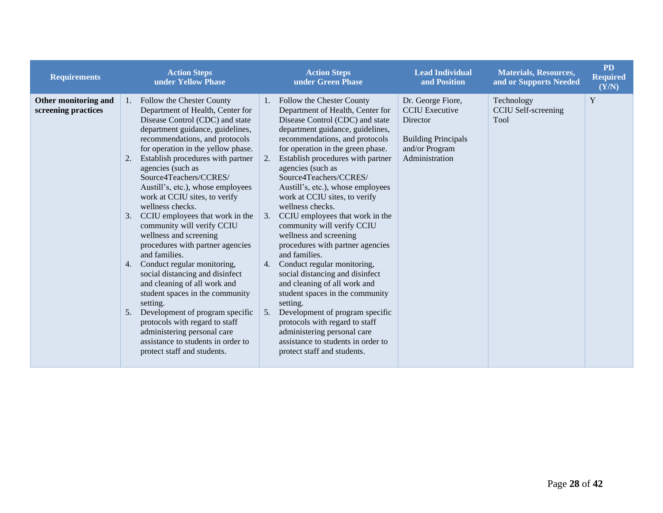| <b>Requirements</b>                         | <b>Action Steps</b><br>under Yellow Phase                                                                                                                                                                                                                                                                                                                                                                                                                                                                                                                                                                                                                                                                                                                                                                                                                                                       | <b>Action Steps</b><br>under Green Phase                                                                                                                                                                                                                                                                                                                                                                                                                                                                                                                                                                                                                                                                                                                                                                                                                                                                   | <b>Lead Individual</b><br>and Position                                                                                   | <b>Materials, Resources,</b><br>and or Supports Needed | <b>PD</b><br><b>Required</b><br>(Y/N) |
|---------------------------------------------|-------------------------------------------------------------------------------------------------------------------------------------------------------------------------------------------------------------------------------------------------------------------------------------------------------------------------------------------------------------------------------------------------------------------------------------------------------------------------------------------------------------------------------------------------------------------------------------------------------------------------------------------------------------------------------------------------------------------------------------------------------------------------------------------------------------------------------------------------------------------------------------------------|------------------------------------------------------------------------------------------------------------------------------------------------------------------------------------------------------------------------------------------------------------------------------------------------------------------------------------------------------------------------------------------------------------------------------------------------------------------------------------------------------------------------------------------------------------------------------------------------------------------------------------------------------------------------------------------------------------------------------------------------------------------------------------------------------------------------------------------------------------------------------------------------------------|--------------------------------------------------------------------------------------------------------------------------|--------------------------------------------------------|---------------------------------------|
| Other monitoring and<br>screening practices | 1. Follow the Chester County<br>Department of Health, Center for<br>Disease Control (CDC) and state<br>department guidance, guidelines,<br>recommendations, and protocols<br>for operation in the yellow phase.<br>Establish procedures with partner<br>2.<br>agencies (such as<br>Source4Teachers/CCRES/<br>Austill's, etc.), whose employees<br>work at CCIU sites, to verify<br>wellness checks.<br>CCIU employees that work in the<br>3.<br>community will verify CCIU<br>wellness and screening<br>procedures with partner agencies<br>and families.<br>Conduct regular monitoring,<br>4.<br>social distancing and disinfect<br>and cleaning of all work and<br>student spaces in the community<br>setting.<br>Development of program specific<br>5.<br>protocols with regard to staff<br>administering personal care<br>assistance to students in order to<br>protect staff and students. | Follow the Chester County<br>$1_{\cdot}$<br>Department of Health, Center for<br>Disease Control (CDC) and state<br>department guidance, guidelines,<br>recommendations, and protocols<br>for operation in the green phase.<br>Establish procedures with partner<br>2.<br>agencies (such as<br>Source4Teachers/CCRES/<br>Austill's, etc.), whose employees<br>work at CCIU sites, to verify<br>wellness checks.<br>CCIU employees that work in the<br>3.<br>community will verify CCIU<br>wellness and screening<br>procedures with partner agencies<br>and families.<br>Conduct regular monitoring,<br>4.<br>social distancing and disinfect<br>and cleaning of all work and<br>student spaces in the community<br>setting.<br>Development of program specific<br>5.<br>protocols with regard to staff<br>administering personal care<br>assistance to students in order to<br>protect staff and students. | Dr. George Fiore,<br><b>CCIU</b> Executive<br>Director<br><b>Building Principals</b><br>and/or Program<br>Administration | Technology<br><b>CCIU Self-screening</b><br>Tool       | Y                                     |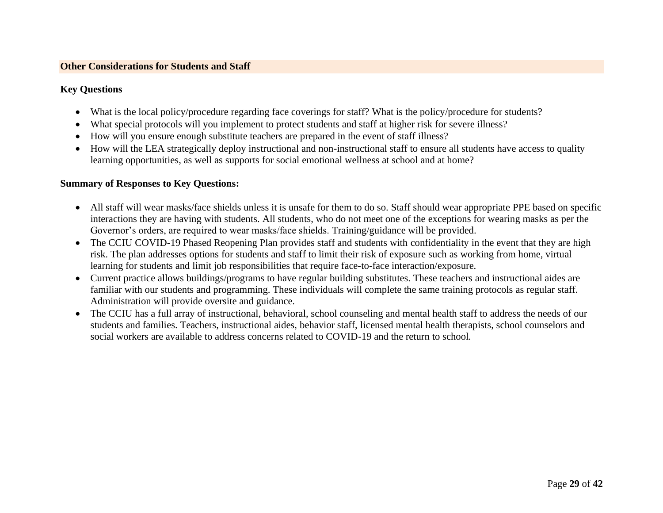#### **Other Considerations for Students and Staff**

#### **Key Questions**

- What is the local policy/procedure regarding face coverings for staff? What is the policy/procedure for students?
- What special protocols will you implement to protect students and staff at higher risk for severe illness?
- How will you ensure enough substitute teachers are prepared in the event of staff illness?
- How will the LEA strategically deploy instructional and non-instructional staff to ensure all students have access to quality learning opportunities, as well as supports for social emotional wellness at school and at home?

- <span id="page-28-0"></span>• All staff will wear masks/face shields unless it is unsafe for them to do so. Staff should wear appropriate PPE based on specific interactions they are having with students. All students, who do not meet one of the exceptions for wearing masks as per the Governor's orders, are required to wear masks/face shields. Training/guidance will be provided.
- The CCIU COVID-19 Phased Reopening Plan provides staff and students with confidentiality in the event that they are high risk. The plan addresses options for students and staff to limit their risk of exposure such as working from home, virtual learning for students and limit job responsibilities that require face-to-face interaction/exposure.
- Current practice allows buildings/programs to have regular building substitutes. These teachers and instructional aides are familiar with our students and programming. These individuals will complete the same training protocols as regular staff. Administration will provide oversite and guidance.
- The CCIU has a full array of instructional, behavioral, school counseling and mental health staff to address the needs of our students and families. Teachers, instructional aides, behavior staff, licensed mental health therapists, school counselors and social workers are available to address concerns related to COVID-19 and the return to school*.*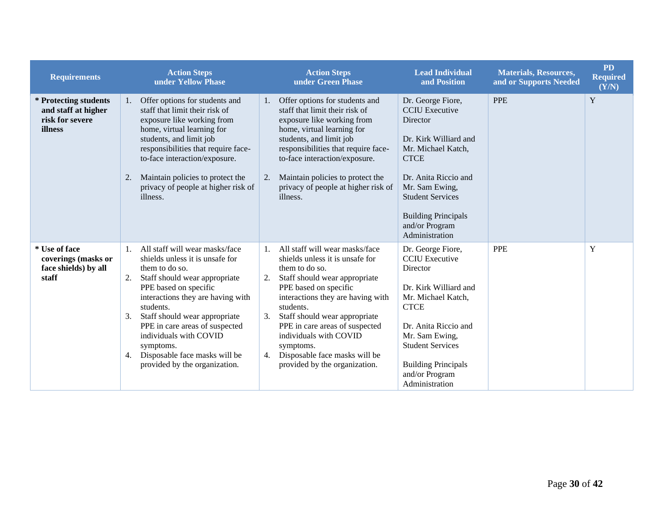| <b>Requirements</b>                                                        | <b>Action Steps</b><br>under Yellow Phase                                                                                                                                                                                                                                                                                                                                                           | <b>Action Steps</b><br>under Green Phase                                                                                                                                                                                                                                                                                                                                                      | <b>Lead Individual</b><br>and Position                                                                                                                                                                                                                      | <b>Materials, Resources,</b><br>and or Supports Needed | <b>PD</b><br><b>Required</b><br>(Y/N) |
|----------------------------------------------------------------------------|-----------------------------------------------------------------------------------------------------------------------------------------------------------------------------------------------------------------------------------------------------------------------------------------------------------------------------------------------------------------------------------------------------|-----------------------------------------------------------------------------------------------------------------------------------------------------------------------------------------------------------------------------------------------------------------------------------------------------------------------------------------------------------------------------------------------|-------------------------------------------------------------------------------------------------------------------------------------------------------------------------------------------------------------------------------------------------------------|--------------------------------------------------------|---------------------------------------|
| * Protecting students<br>and staff at higher<br>risk for severe<br>illness | Offer options for students and<br>1.<br>staff that limit their risk of<br>exposure like working from<br>home, virtual learning for<br>students, and limit job<br>responsibilities that require face-<br>to-face interaction/exposure.<br>Maintain policies to protect the<br>2.<br>privacy of people at higher risk of<br>illness.                                                                  | Offer options for students and<br>1.<br>staff that limit their risk of<br>exposure like working from<br>home, virtual learning for<br>students, and limit job<br>responsibilities that require face-<br>to-face interaction/exposure.<br>Maintain policies to protect the<br>2.<br>privacy of people at higher risk of<br>illness.                                                            | Dr. George Fiore,<br><b>CCIU</b> Executive<br>Director<br>Dr. Kirk Williard and<br>Mr. Michael Katch,<br><b>CTCE</b><br>Dr. Anita Riccio and<br>Mr. Sam Ewing,<br><b>Student Services</b><br><b>Building Principals</b><br>and/or Program<br>Administration | <b>PPE</b>                                             | Y                                     |
| * Use of face<br>coverings (masks or<br>face shields) by all<br>staff      | All staff will wear masks/face<br>1.<br>shields unless it is unsafe for<br>them to do so.<br>Staff should wear appropriate<br>2.<br>PPE based on specific<br>interactions they are having with<br>students.<br>Staff should wear appropriate<br>3.<br>PPE in care areas of suspected<br>individuals with COVID<br>symptoms.<br>Disposable face masks will be<br>4.<br>provided by the organization. | All staff will wear masks/face<br>shields unless it is unsafe for<br>them to do so.<br>Staff should wear appropriate<br>2.<br>PPE based on specific<br>interactions they are having with<br>students.<br>Staff should wear appropriate<br>3.<br>PPE in care areas of suspected<br>individuals with COVID<br>symptoms.<br>Disposable face masks will be<br>4.<br>provided by the organization. | Dr. George Fiore,<br><b>CCIU</b> Executive<br>Director<br>Dr. Kirk Williard and<br>Mr. Michael Katch,<br><b>CTCE</b><br>Dr. Anita Riccio and<br>Mr. Sam Ewing,<br><b>Student Services</b><br><b>Building Principals</b><br>and/or Program<br>Administration | <b>PPE</b>                                             | Y                                     |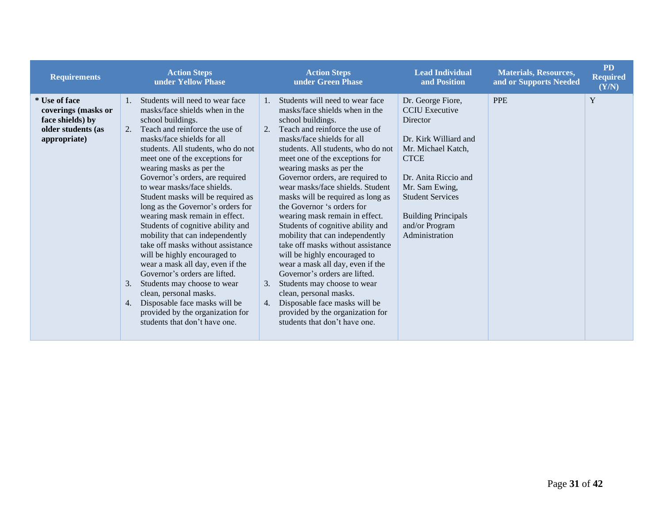| <b>Requirements</b>                                                                            | <b>Action Steps</b><br>under Yellow Phase                                                                                                                                                                                                                                                                                                                                                                                                                                                                                                                                                                                                                                                                                                                                                                                                         | <b>Action Steps</b><br>under Green Phase                                                                                                                                                                                                                                                                                                                                                                                                                                                                                                                                                                                                                                                                                                                                                                                                                  | <b>Lead Individual</b><br>and Position                                                                                                                                                                                                                      | <b>Materials, Resources,</b><br>and or Supports Needed | <b>PD</b><br><b>Required</b><br>(Y/N) |
|------------------------------------------------------------------------------------------------|---------------------------------------------------------------------------------------------------------------------------------------------------------------------------------------------------------------------------------------------------------------------------------------------------------------------------------------------------------------------------------------------------------------------------------------------------------------------------------------------------------------------------------------------------------------------------------------------------------------------------------------------------------------------------------------------------------------------------------------------------------------------------------------------------------------------------------------------------|-----------------------------------------------------------------------------------------------------------------------------------------------------------------------------------------------------------------------------------------------------------------------------------------------------------------------------------------------------------------------------------------------------------------------------------------------------------------------------------------------------------------------------------------------------------------------------------------------------------------------------------------------------------------------------------------------------------------------------------------------------------------------------------------------------------------------------------------------------------|-------------------------------------------------------------------------------------------------------------------------------------------------------------------------------------------------------------------------------------------------------------|--------------------------------------------------------|---------------------------------------|
| * Use of face<br>coverings (masks or<br>face shields) by<br>older students (as<br>appropriate) | Students will need to wear face<br>1.<br>masks/face shields when in the<br>school buildings.<br>Teach and reinforce the use of<br>2.<br>masks/face shields for all<br>students. All students, who do not<br>meet one of the exceptions for<br>wearing masks as per the<br>Governor's orders, are required<br>to wear masks/face shields.<br>Student masks will be required as<br>long as the Governor's orders for<br>wearing mask remain in effect.<br>Students of cognitive ability and<br>mobility that can independently<br>take off masks without assistance<br>will be highly encouraged to<br>wear a mask all day, even if the<br>Governor's orders are lifted.<br>Students may choose to wear<br>3.<br>clean, personal masks.<br>Disposable face masks will be<br>4.<br>provided by the organization for<br>students that don't have one. | Students will need to wear face<br>$1_{\cdot}$<br>masks/face shields when in the<br>school buildings.<br>Teach and reinforce the use of<br>2.<br>masks/face shields for all<br>students. All students, who do not<br>meet one of the exceptions for<br>wearing masks as per the<br>Governor orders, are required to<br>wear masks/face shields. Student<br>masks will be required as long as<br>the Governor 's orders for<br>wearing mask remain in effect.<br>Students of cognitive ability and<br>mobility that can independently<br>take off masks without assistance<br>will be highly encouraged to<br>wear a mask all day, even if the<br>Governor's orders are lifted.<br>Students may choose to wear<br>3.<br>clean, personal masks.<br>Disposable face masks will be<br>4.<br>provided by the organization for<br>students that don't have one. | Dr. George Fiore,<br><b>CCIU</b> Executive<br>Director<br>Dr. Kirk Williard and<br>Mr. Michael Katch,<br><b>CTCE</b><br>Dr. Anita Riccio and<br>Mr. Sam Ewing,<br><b>Student Services</b><br><b>Building Principals</b><br>and/or Program<br>Administration | <b>PPE</b>                                             | Y                                     |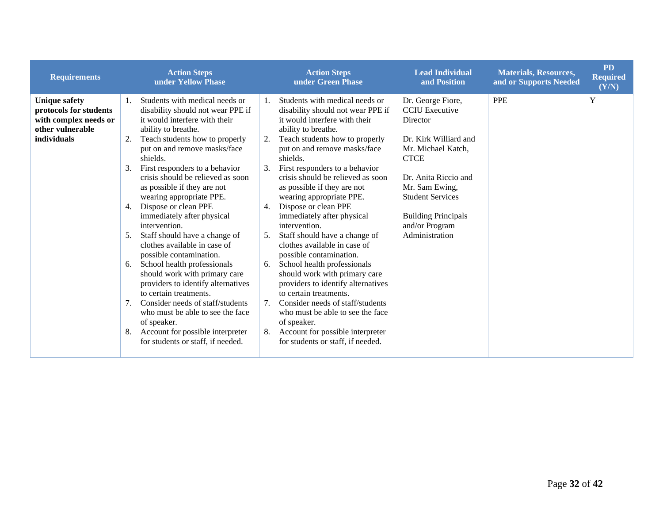| <b>Requirements</b>                                                                                        | <b>Action Steps</b><br>under Yellow Phase                                                                                                                                                                                                                                                                                                                                                                                                                                                                                                                                                                                                                                                                                                                                                                                                                      | <b>Action Steps</b><br>under Green Phase                                                                                                                                                                                                                                                                                                                                                                                                                                                                                                                                                                                                                                                                                                                                                                                               | <b>Lead Individual</b><br>and Position                                                                                                                                                                                                                      | <b>Materials, Resources,</b><br>and or Supports Needed | <b>PD</b><br><b>Required</b><br>(Y/N) |
|------------------------------------------------------------------------------------------------------------|----------------------------------------------------------------------------------------------------------------------------------------------------------------------------------------------------------------------------------------------------------------------------------------------------------------------------------------------------------------------------------------------------------------------------------------------------------------------------------------------------------------------------------------------------------------------------------------------------------------------------------------------------------------------------------------------------------------------------------------------------------------------------------------------------------------------------------------------------------------|----------------------------------------------------------------------------------------------------------------------------------------------------------------------------------------------------------------------------------------------------------------------------------------------------------------------------------------------------------------------------------------------------------------------------------------------------------------------------------------------------------------------------------------------------------------------------------------------------------------------------------------------------------------------------------------------------------------------------------------------------------------------------------------------------------------------------------------|-------------------------------------------------------------------------------------------------------------------------------------------------------------------------------------------------------------------------------------------------------------|--------------------------------------------------------|---------------------------------------|
| <b>Unique safety</b><br>protocols for students<br>with complex needs or<br>other vulnerable<br>individuals | Students with medical needs or<br>1.<br>disability should not wear PPE if<br>it would interfere with their<br>ability to breathe.<br>Teach students how to properly<br>2.<br>put on and remove masks/face<br>shields.<br>First responders to a behavior<br>3.<br>crisis should be relieved as soon<br>as possible if they are not<br>wearing appropriate PPE.<br>Dispose or clean PPE<br>4.<br>immediately after physical<br>intervention.<br>Staff should have a change of<br>5.<br>clothes available in case of<br>possible contamination.<br>School health professionals<br>6.<br>should work with primary care<br>providers to identify alternatives<br>to certain treatments.<br>Consider needs of staff/students<br>7.<br>who must be able to see the face<br>of speaker.<br>Account for possible interpreter<br>8.<br>for students or staff, if needed. | Students with medical needs or<br>disability should not wear PPE if<br>it would interfere with their<br>ability to breathe.<br>Teach students how to properly<br>2.<br>put on and remove masks/face<br>shields.<br>First responders to a behavior<br>3.<br>crisis should be relieved as soon<br>as possible if they are not<br>wearing appropriate PPE.<br>Dispose or clean PPE<br>4.<br>immediately after physical<br>intervention.<br>Staff should have a change of<br>clothes available in case of<br>possible contamination.<br>School health professionals<br>6.<br>should work with primary care<br>providers to identify alternatives<br>to certain treatments.<br>Consider needs of staff/students<br>who must be able to see the face<br>of speaker.<br>Account for possible interpreter<br>for students or staff, if needed. | Dr. George Fiore,<br><b>CCIU</b> Executive<br>Director<br>Dr. Kirk Williard and<br>Mr. Michael Katch,<br><b>CTCE</b><br>Dr. Anita Riccio and<br>Mr. Sam Ewing,<br><b>Student Services</b><br><b>Building Principals</b><br>and/or Program<br>Administration | <b>PPE</b>                                             | $\mathbf Y$                           |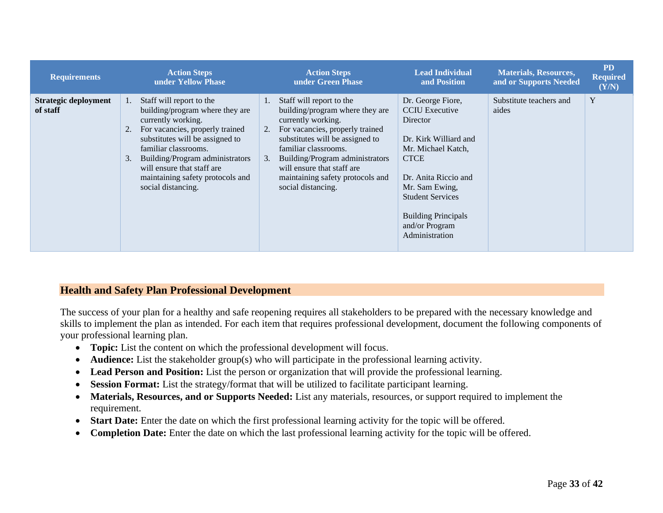| <b>Requirements</b>              | <b>Action Steps</b><br>under Yellow Phase                                                                                                                                                                                                                                                                                    | <b>Action Steps</b><br>under Green Phase                                                                                                                                                                                                                                                                               | <b>Lead Individual</b><br>and Position                                                                                                                                                                                                                      | <b>Materials, Resources,</b><br>and or Supports Needed | <b>PD</b><br><b>Required</b><br>(Y/N) |
|----------------------------------|------------------------------------------------------------------------------------------------------------------------------------------------------------------------------------------------------------------------------------------------------------------------------------------------------------------------------|------------------------------------------------------------------------------------------------------------------------------------------------------------------------------------------------------------------------------------------------------------------------------------------------------------------------|-------------------------------------------------------------------------------------------------------------------------------------------------------------------------------------------------------------------------------------------------------------|--------------------------------------------------------|---------------------------------------|
| Strategic deployment<br>of staff | Staff will report to the<br>1.<br>building/program where they are<br>currently working.<br>For vacancies, properly trained<br>2.<br>substitutes will be assigned to<br>familiar classrooms.<br>Building/Program administrators<br>3.<br>will ensure that staff are<br>maintaining safety protocols and<br>social distancing. | Staff will report to the<br>building/program where they are<br>currently working.<br>For vacancies, properly trained<br>2.<br>substitutes will be assigned to<br>familiar classrooms.<br>Building/Program administrators<br>3.<br>will ensure that staff are<br>maintaining safety protocols and<br>social distancing. | Dr. George Fiore,<br><b>CCIU</b> Executive<br>Director<br>Dr. Kirk Williard and<br>Mr. Michael Katch,<br><b>CTCE</b><br>Dr. Anita Riccio and<br>Mr. Sam Ewing,<br><b>Student Services</b><br><b>Building Principals</b><br>and/or Program<br>Administration | Substitute teachers and<br>aides                       | Y                                     |

#### **Health and Safety Plan Professional Development**

The success of your plan for a healthy and safe reopening requires all stakeholders to be prepared with the necessary knowledge and skills to implement the plan as intended. For each item that requires professional development, document the following components of your professional learning plan.

- **Topic:** List the content on which the professional development will focus.
- **Audience:** List the stakeholder group(s) who will participate in the professional learning activity.
- **Lead Person and Position:** List the person or organization that will provide the professional learning.
- **Session Format:** List the strategy/format that will be utilized to facilitate participant learning.
- **Materials, Resources, and or Supports Needed:** List any materials, resources, or support required to implement the requirement.
- **Start Date:** Enter the date on which the first professional learning activity for the topic will be offered.
- <span id="page-32-0"></span>• **Completion Date:** Enter the date on which the last professional learning activity for the topic will be offered.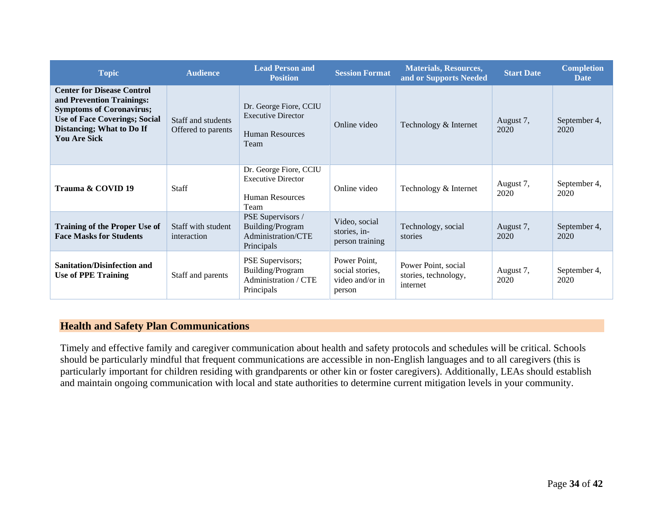| <b>Topic</b>                                                                                                                                                                                  | <b>Audience</b>                          | <b>Lead Person and</b><br><b>Position</b>                                             | <b>Session Format</b>                                        | <b>Materials, Resources,</b><br>and or Supports Needed  | <b>Start Date</b> | <b>Completion</b><br><b>Date</b> |
|-----------------------------------------------------------------------------------------------------------------------------------------------------------------------------------------------|------------------------------------------|---------------------------------------------------------------------------------------|--------------------------------------------------------------|---------------------------------------------------------|-------------------|----------------------------------|
| <b>Center for Disease Control</b><br>and Prevention Trainings:<br><b>Symptoms of Coronavirus;</b><br><b>Use of Face Coverings; Social</b><br>Distancing; What to Do If<br><b>You Are Sick</b> | Staff and students<br>Offered to parents | Dr. George Fiore, CCIU<br><b>Executive Director</b><br><b>Human Resources</b><br>Team | Online video                                                 | Technology & Internet                                   | August 7,<br>2020 | September 4,<br>2020             |
| Trauma & COVID 19                                                                                                                                                                             | <b>Staff</b>                             | Dr. George Fiore, CCIU<br><b>Executive Director</b><br><b>Human Resources</b><br>Team | Online video                                                 | Technology & Internet                                   | August 7,<br>2020 | September 4,<br>2020             |
| <b>Training of the Proper Use of</b><br><b>Face Masks for Students</b>                                                                                                                        | Staff with student<br>interaction        | PSE Supervisors /<br>Building/Program<br>Administration/CTE<br>Principals             | Video, social<br>stories, in-<br>person training             | Technology, social<br>stories                           | August 7,<br>2020 | September 4,<br>2020             |
| <b>Sanitation/Disinfection and</b><br><b>Use of PPE Training</b>                                                                                                                              | Staff and parents                        | PSE Supervisors;<br>Building/Program<br>Administration / CTE<br>Principals            | Power Point,<br>social stories,<br>video and/or in<br>person | Power Point, social<br>stories, technology,<br>internet | August 7,<br>2020 | September 4,<br>2020             |

## **Health and Safety Plan Communications**

<span id="page-33-0"></span>Timely and effective family and caregiver communication about health and safety protocols and schedules will be critical. Schools should be particularly mindful that frequent communications are accessible in non-English languages and to all caregivers (this is particularly important for children residing with grandparents or other kin or foster caregivers). Additionally, LEAs should establish and maintain ongoing communication with local and state authorities to determine current mitigation levels in your community.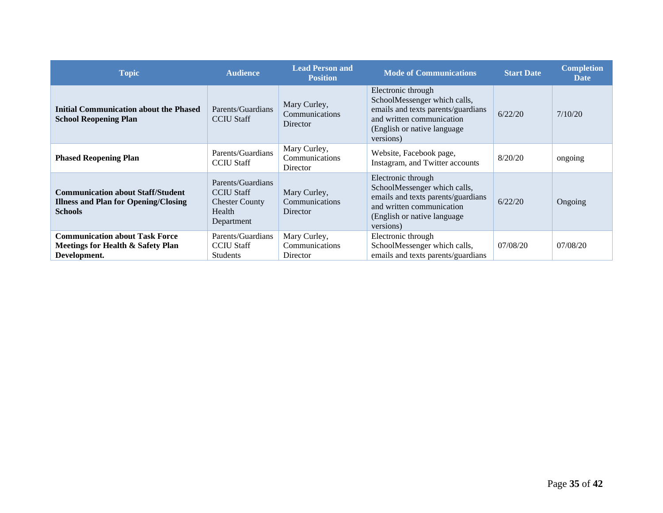<span id="page-34-0"></span>

| <b>Topic</b>                                                                                              | <b>Audience</b>                                                                         | <b>Lead Person and</b><br><b>Position</b>         | <b>Mode of Communications</b>                                                                                                                                      | <b>Start Date</b> | <b>Completion</b><br><b>Date</b> |
|-----------------------------------------------------------------------------------------------------------|-----------------------------------------------------------------------------------------|---------------------------------------------------|--------------------------------------------------------------------------------------------------------------------------------------------------------------------|-------------------|----------------------------------|
| <b>Initial Communication about the Phased</b><br><b>School Reopening Plan</b>                             | Parents/Guardians<br><b>CCIU Staff</b>                                                  | Mary Curley,<br>Communications<br>Director        | Electronic through<br>SchoolMessenger which calls,<br>emails and texts parents/guardians<br>and written communication<br>(English or native language)<br>versions) | 6/22/20           | 7/10/20                          |
| <b>Phased Reopening Plan</b>                                                                              | Parents/Guardians<br><b>CCIU Staff</b>                                                  | Mary Curley,<br>Communications<br>Director        | Website, Facebook page,<br>Instagram, and Twitter accounts                                                                                                         | 8/20/20           | ongoing                          |
| <b>Communication about Staff/Student</b><br><b>Illness and Plan for Opening/Closing</b><br><b>Schools</b> | Parents/Guardians<br><b>CCIU</b> Staff<br><b>Chester County</b><br>Health<br>Department | Mary Curley,<br>Communications<br>Director        | Electronic through<br>SchoolMessenger which calls,<br>emails and texts parents/guardians<br>and written communication<br>(English or native language)<br>versions) | 6/22/20           | Ongoing                          |
| <b>Communication about Task Force</b><br>Meetings for Health & Safety Plan<br>Development.                | Parents/Guardians<br><b>CCIU Staff</b><br>Students                                      | Mary Curley,<br>Communications<br><b>Director</b> | Electronic through<br>SchoolMessenger which calls,<br>emails and texts parents/guardians                                                                           | 07/08/20          | 07/08/20                         |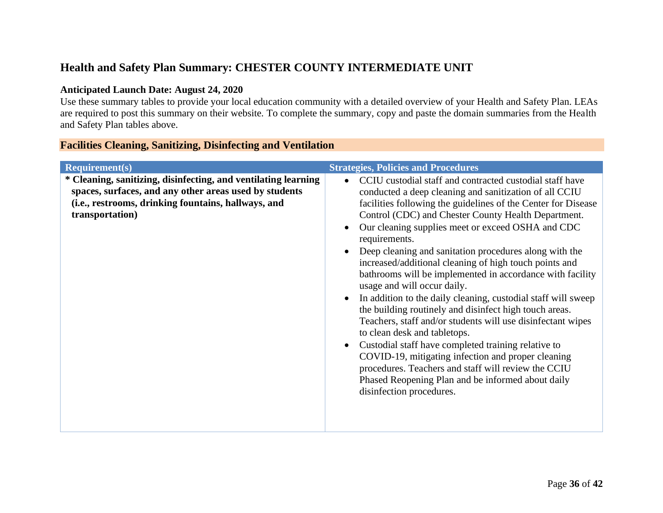# **Health and Safety Plan Summary: CHESTER COUNTY INTERMEDIATE UNIT**

#### **Anticipated Launch Date: August 24, 2020**

Use these summary tables to provide your local education community with a detailed overview of your Health and Safety Plan. LEAs are required to post this summary on their website. To complete the summary, copy and paste the domain summaries from the Health and Safety Plan tables above.

|  | <b>Facilities Cleaning, Sanitizing, Disinfecting and Ventilation</b> |  |
|--|----------------------------------------------------------------------|--|
|  |                                                                      |  |

<span id="page-35-0"></span>

| * Cleaning, sanitizing, disinfecting, and ventilating learning<br>CCIU custodial staff and contracted custodial staff have<br>$\bullet$<br>spaces, surfaces, and any other areas used by students<br>conducted a deep cleaning and sanitization of all CCIU<br>(i.e., restrooms, drinking fountains, hallways, and<br>facilities following the guidelines of the Center for Disease<br>transportation)<br>Control (CDC) and Chester County Health Department.<br>Our cleaning supplies meet or exceed OSHA and CDC<br>requirements.<br>Deep cleaning and sanitation procedures along with the<br>$\bullet$<br>increased/additional cleaning of high touch points and<br>bathrooms will be implemented in accordance with facility<br>usage and will occur daily.<br>In addition to the daily cleaning, custodial staff will sweep<br>$\bullet$<br>the building routinely and disinfect high touch areas.<br>Teachers, staff and/or students will use disinfectant wipes<br>to clean desk and tabletops.<br>Custodial staff have completed training relative to<br>$\bullet$<br>COVID-19, mitigating infection and proper cleaning<br>procedures. Teachers and staff will review the CCIU<br>Phased Reopening Plan and be informed about daily<br>disinfection procedures. | Required(s) | <b>Strategies, Policies and Procedures</b> |
|---------------------------------------------------------------------------------------------------------------------------------------------------------------------------------------------------------------------------------------------------------------------------------------------------------------------------------------------------------------------------------------------------------------------------------------------------------------------------------------------------------------------------------------------------------------------------------------------------------------------------------------------------------------------------------------------------------------------------------------------------------------------------------------------------------------------------------------------------------------------------------------------------------------------------------------------------------------------------------------------------------------------------------------------------------------------------------------------------------------------------------------------------------------------------------------------------------------------------------------------------------------------------|-------------|--------------------------------------------|
|                                                                                                                                                                                                                                                                                                                                                                                                                                                                                                                                                                                                                                                                                                                                                                                                                                                                                                                                                                                                                                                                                                                                                                                                                                                                           |             |                                            |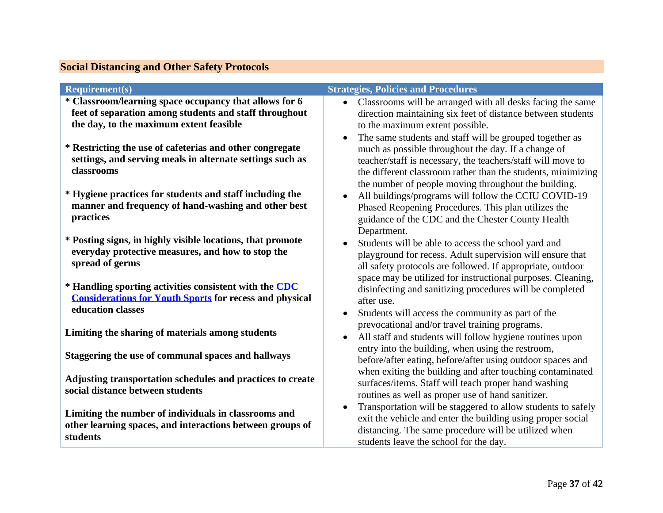| <b>Social Distancing and Other Safety Protocols</b> |  |  |
|-----------------------------------------------------|--|--|
|                                                     |  |  |

<span id="page-36-0"></span>

| <b>Requirement(s)</b>                                          | <b>Strategies, Policies and Procedures</b>                                |
|----------------------------------------------------------------|---------------------------------------------------------------------------|
| * Classroom/learning space occupancy that allows for 6         | Classrooms will be arranged with all desks facing the same<br>$\bullet$   |
| feet of separation among students and staff throughout         | direction maintaining six feet of distance between students               |
| the day, to the maximum extent feasible                        | to the maximum extent possible.                                           |
|                                                                | The same students and staff will be grouped together as<br>$\bullet$      |
| * Restricting the use of cafeterias and other congregate       | much as possible throughout the day. If a change of                       |
| settings, and serving meals in alternate settings such as      | teacher/staff is necessary, the teachers/staff will move to               |
| classrooms                                                     | the different classroom rather than the students, minimizing              |
|                                                                |                                                                           |
| * Hygiene practices for students and staff including the       | the number of people moving throughout the building.                      |
| manner and frequency of hand-washing and other best            | All buildings/programs will follow the CCIU COVID-19<br>$\bullet$         |
| practices                                                      | Phased Reopening Procedures. This plan utilizes the                       |
|                                                                | guidance of the CDC and the Chester County Health                         |
| * Posting signs, in highly visible locations, that promote     | Department.                                                               |
| everyday protective measures, and how to stop the              | Students will be able to access the school yard and                       |
| spread of germs                                                | playground for recess. Adult supervision will ensure that                 |
|                                                                | all safety protocols are followed. If appropriate, outdoor                |
| * Handling sporting activities consistent with the CDC         | space may be utilized for instructional purposes. Cleaning,               |
| <b>Considerations for Youth Sports for recess and physical</b> | disinfecting and sanitizing procedures will be completed                  |
| education classes                                              | after use.                                                                |
|                                                                | Students will access the community as part of the<br>$\bullet$            |
| Limiting the sharing of materials among students               | prevocational and/or travel training programs.                            |
|                                                                | All staff and students will follow hygiene routines upon<br>$\bullet$     |
| Staggering the use of communal spaces and hallways             | entry into the building, when using the restroom,                         |
|                                                                | before/after eating, before/after using outdoor spaces and                |
| Adjusting transportation schedules and practices to create     | when exiting the building and after touching contaminated                 |
| social distance between students                               | surfaces/items. Staff will teach proper hand washing                      |
|                                                                | routines as well as proper use of hand sanitizer.                         |
| Limiting the number of individuals in classrooms and           | Transportation will be staggered to allow students to safely<br>$\bullet$ |
| other learning spaces, and interactions between groups of      | exit the vehicle and enter the building using proper social               |
| students                                                       | distancing. The same procedure will be utilized when                      |
|                                                                | students leave the school for the day.                                    |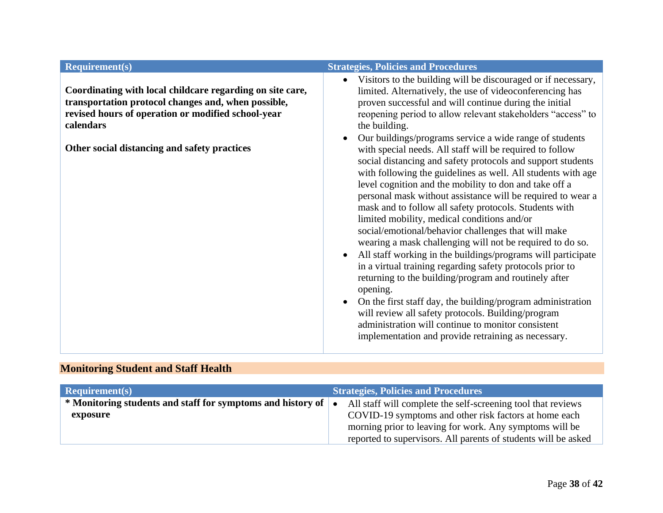# **Monitoring Student and Staff Health**

<span id="page-37-0"></span>

| $\textbf{Required}(s)$                                      | <b>Strategies, Policies and Procedures</b>                     |
|-------------------------------------------------------------|----------------------------------------------------------------|
| * Monitoring students and staff for symptoms and history of | All staff will complete the self-screening tool that reviews   |
| exposure                                                    | COVID-19 symptoms and other risk factors at home each          |
|                                                             | morning prior to leaving for work. Any symptoms will be        |
|                                                             | reported to supervisors. All parents of students will be asked |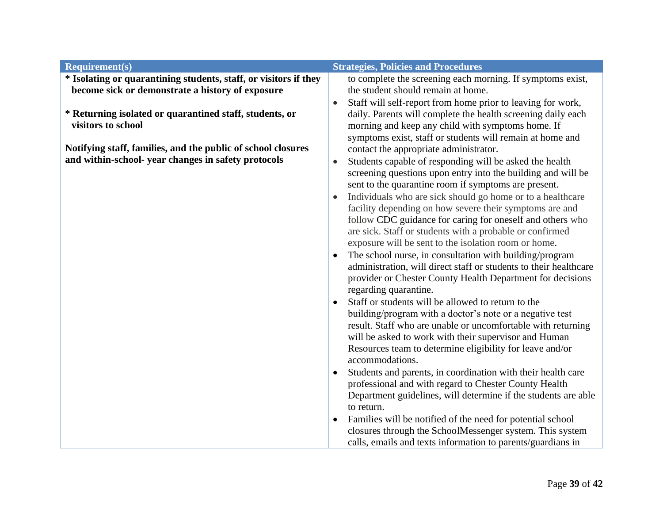| <b>Requirement(s)</b>                                                                                                | <b>Strategies, Policies and Procedures</b>                                                                                                                                                                                                                                                                                                                                                                                                                                                                                                                                                                                                                                                                                                                                                                                                                                                                                                                                                                                                                                                                                                                                                                                              |
|----------------------------------------------------------------------------------------------------------------------|-----------------------------------------------------------------------------------------------------------------------------------------------------------------------------------------------------------------------------------------------------------------------------------------------------------------------------------------------------------------------------------------------------------------------------------------------------------------------------------------------------------------------------------------------------------------------------------------------------------------------------------------------------------------------------------------------------------------------------------------------------------------------------------------------------------------------------------------------------------------------------------------------------------------------------------------------------------------------------------------------------------------------------------------------------------------------------------------------------------------------------------------------------------------------------------------------------------------------------------------|
| * Isolating or quarantining students, staff, or visitors if they<br>become sick or demonstrate a history of exposure | to complete the screening each morning. If symptoms exist,<br>the student should remain at home.                                                                                                                                                                                                                                                                                                                                                                                                                                                                                                                                                                                                                                                                                                                                                                                                                                                                                                                                                                                                                                                                                                                                        |
| * Returning isolated or quarantined staff, students, or<br>visitors to school                                        | Staff will self-report from home prior to leaving for work,<br>$\bullet$<br>daily. Parents will complete the health screening daily each<br>morning and keep any child with symptoms home. If<br>symptoms exist, staff or students will remain at home and                                                                                                                                                                                                                                                                                                                                                                                                                                                                                                                                                                                                                                                                                                                                                                                                                                                                                                                                                                              |
|                                                                                                                      |                                                                                                                                                                                                                                                                                                                                                                                                                                                                                                                                                                                                                                                                                                                                                                                                                                                                                                                                                                                                                                                                                                                                                                                                                                         |
| Notifying staff, families, and the public of school closures<br>and within-school- year changes in safety protocols  | contact the appropriate administrator.<br>Students capable of responding will be asked the health<br>$\bullet$<br>screening questions upon entry into the building and will be<br>sent to the quarantine room if symptoms are present.<br>Individuals who are sick should go home or to a healthcare<br>facility depending on how severe their symptoms are and<br>follow CDC guidance for caring for oneself and others who<br>are sick. Staff or students with a probable or confirmed<br>exposure will be sent to the isolation room or home.<br>The school nurse, in consultation with building/program<br>$\bullet$<br>administration, will direct staff or students to their healthcare<br>provider or Chester County Health Department for decisions<br>regarding quarantine.<br>Staff or students will be allowed to return to the<br>building/program with a doctor's note or a negative test<br>result. Staff who are unable or uncomfortable with returning<br>will be asked to work with their supervisor and Human<br>Resources team to determine eligibility for leave and/or<br>accommodations.<br>Students and parents, in coordination with their health care<br>professional and with regard to Chester County Health |
|                                                                                                                      | Department guidelines, will determine if the students are able<br>to return.                                                                                                                                                                                                                                                                                                                                                                                                                                                                                                                                                                                                                                                                                                                                                                                                                                                                                                                                                                                                                                                                                                                                                            |
|                                                                                                                      | Families will be notified of the need for potential school<br>closures through the SchoolMessenger system. This system<br>calls, emails and texts information to parents/guardians in                                                                                                                                                                                                                                                                                                                                                                                                                                                                                                                                                                                                                                                                                                                                                                                                                                                                                                                                                                                                                                                   |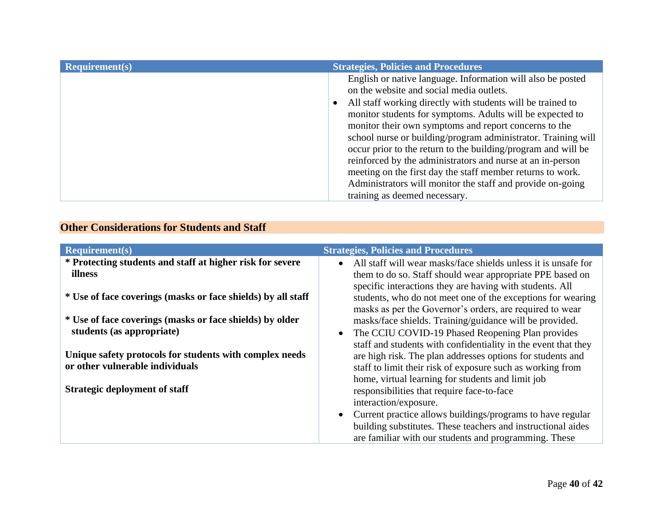| <b>Requirement(s)</b> | <b>Strategies, Policies and Procedures</b>                                                                                                                                                                                                                                                                                                                                                                                                                                                                                                                                                                                                                |
|-----------------------|-----------------------------------------------------------------------------------------------------------------------------------------------------------------------------------------------------------------------------------------------------------------------------------------------------------------------------------------------------------------------------------------------------------------------------------------------------------------------------------------------------------------------------------------------------------------------------------------------------------------------------------------------------------|
|                       | English or native language. Information will also be posted<br>on the website and social media outlets.<br>All staff working directly with students will be trained to<br>monitor students for symptoms. Adults will be expected to<br>monitor their own symptoms and report concerns to the<br>school nurse or building/program administrator. Training will<br>occur prior to the return to the building/program and will be<br>reinforced by the administrators and nurse at an in-person<br>meeting on the first day the staff member returns to work.<br>Administrators will monitor the staff and provide on-going<br>training as deemed necessary. |

# **Other Considerations for Students and Staff**

<span id="page-39-0"></span>

| <b>Requirement(s)</b>                                        | <b>Strategies, Policies and Procedures</b>                                  |
|--------------------------------------------------------------|-----------------------------------------------------------------------------|
| * Protecting students and staff at higher risk for severe    | All staff will wear masks/face shields unless it is unsafe for<br>$\bullet$ |
| <b>illness</b>                                               | them to do so. Staff should wear appropriate PPE based on                   |
|                                                              | specific interactions they are having with students. All                    |
| * Use of face coverings (masks or face shields) by all staff | students, who do not meet one of the exceptions for wearing                 |
|                                                              | masks as per the Governor's orders, are required to wear                    |
| * Use of face coverings (masks or face shields) by older     | masks/face shields. Training/guidance will be provided.                     |
| students (as appropriate)                                    | The CCIU COVID-19 Phased Reopening Plan provides<br>$\bullet$               |
|                                                              | staff and students with confidentiality in the event that they              |
| Unique safety protocols for students with complex needs      | are high risk. The plan addresses options for students and                  |
| or other vulnerable individuals                              | staff to limit their risk of exposure such as working from                  |
|                                                              | home, virtual learning for students and limit job                           |
| <b>Strategic deployment of staff</b>                         | responsibilities that require face-to-face                                  |
|                                                              | interaction/exposure.                                                       |
|                                                              | Current practice allows buildings/programs to have regular                  |
|                                                              | building substitutes. These teachers and instructional aides                |
|                                                              | are familiar with our students and programming. These                       |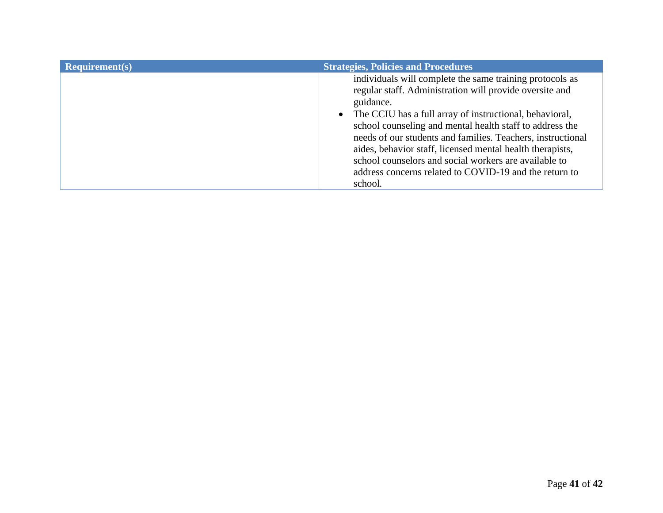| Required(s) | <b>Strategies, Policies and Procedures</b>                                                                                                                                                                                                                                                                                                                                                                                                                                                                          |
|-------------|---------------------------------------------------------------------------------------------------------------------------------------------------------------------------------------------------------------------------------------------------------------------------------------------------------------------------------------------------------------------------------------------------------------------------------------------------------------------------------------------------------------------|
|             | individuals will complete the same training protocols as<br>regular staff. Administration will provide oversite and<br>guidance.<br>• The CCIU has a full array of instructional, behavioral,<br>school counseling and mental health staff to address the<br>needs of our students and families. Teachers, instructional<br>aides, behavior staff, licensed mental health therapists,<br>school counselors and social workers are available to<br>address concerns related to COVID-19 and the return to<br>school. |